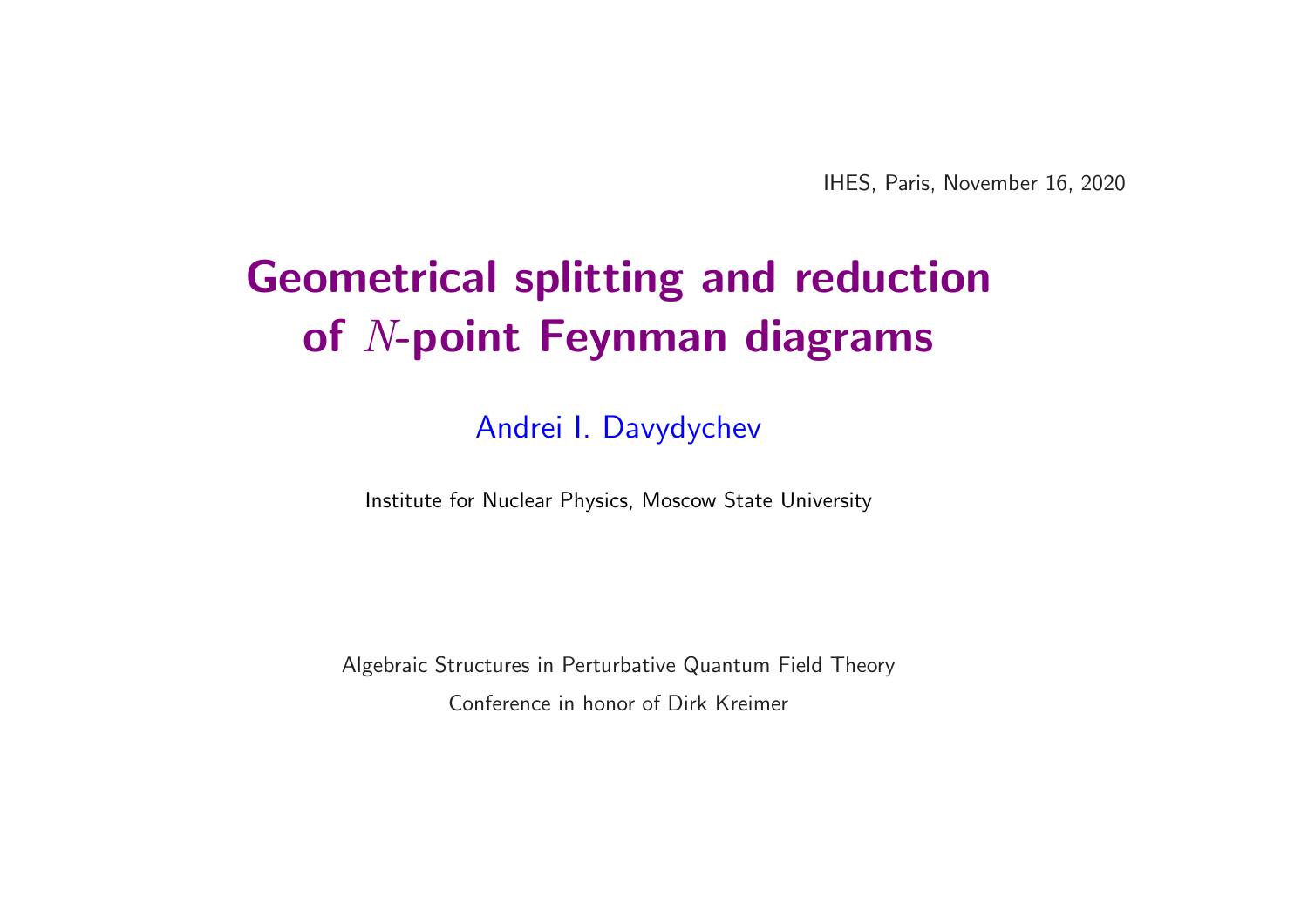IHES, Paris, November 16, 2020

# Geometrical splitting and reduction of N-point Feynman diagrams

Andrei I. Davydychev

Institute for Nuclear Physics, Moscow State University

Algebraic Structures in Perturbative Quantum Field Theory Conference in honor of Dirk Kreimer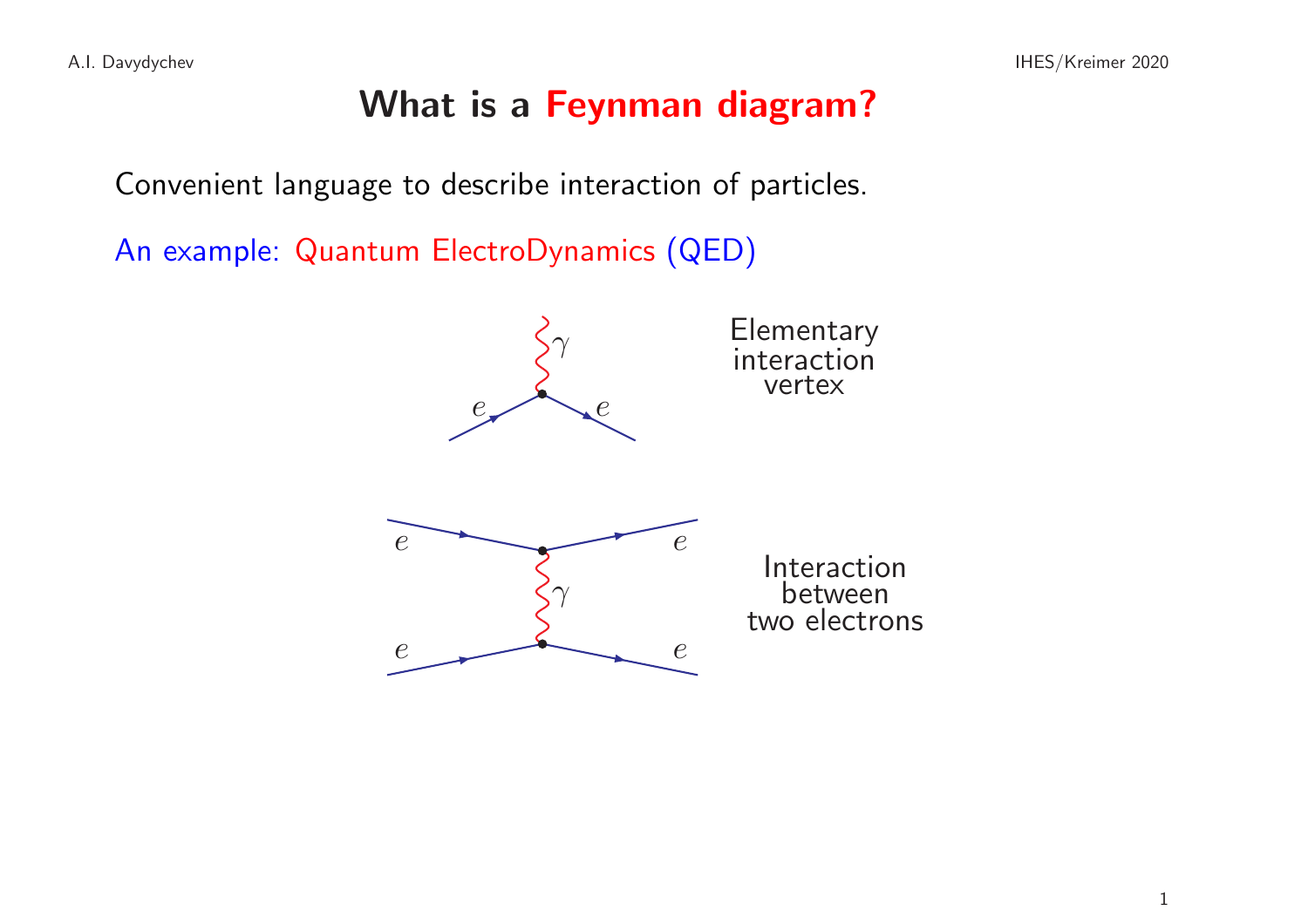## What is a Feynman diagram?

Convenient language to describe interaction of particles.

An example: Quantum ElectroDynamics (QED)

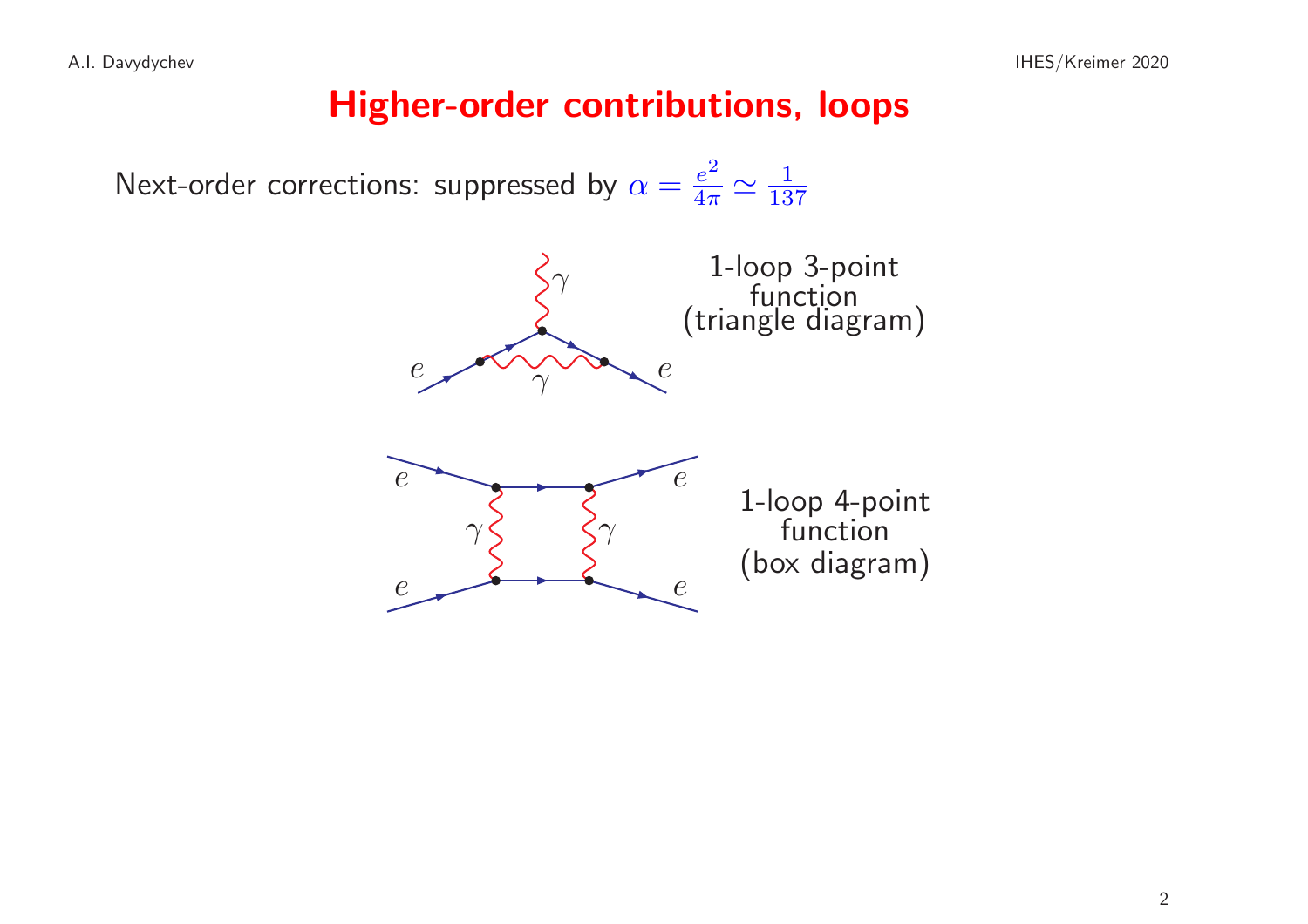#### Higher-order contributions, loops

Next-order corrections: suppressed by  $\alpha = \frac{e^2}{4\pi} \simeq \frac{1}{137}$ 

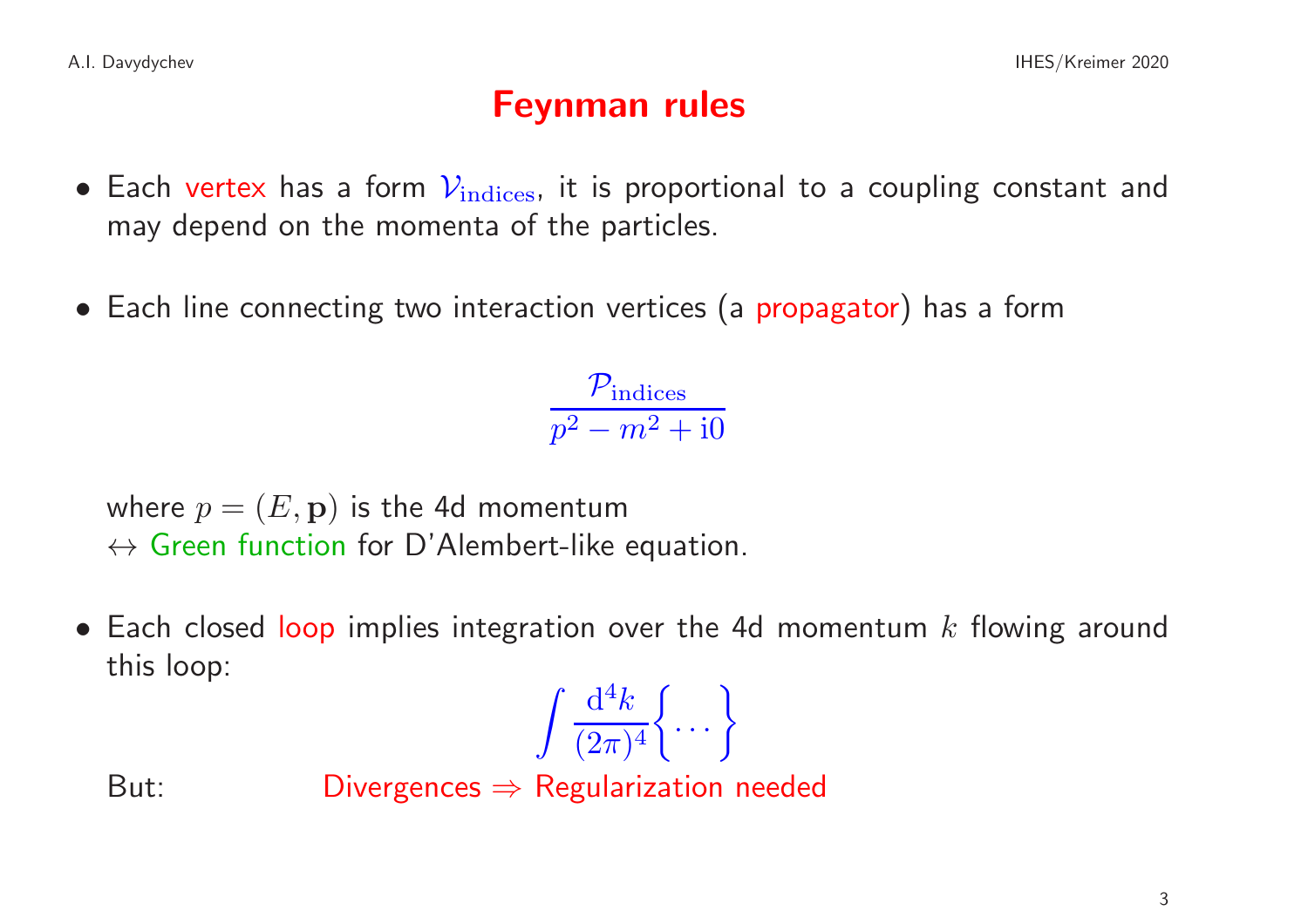## Feynman rules

- Each vertex has a form  $V_{\text{indices}}$ , it is proportional to a coupling constant and may depend on the momenta of the particles.
- Each line connecting two interaction vertices (a propagator) has a form

 $\mathcal{P}_{\rm indices}$  $p^2-m^2+{\rm i} 0$ 

where  $p = (E, \mathbf{p})$  is the 4d momentum  $\leftrightarrow$  Green function for D'Alembert-like equation.

• Each closed loop implies integration over the 4d momentum  $k$  flowing around this loop:

$$
\int \frac{\mathrm{d}^4 k}{(2\pi)^4} \bigg\{ \cdots \bigg\}
$$

But: Divergences  $\Rightarrow$  Regularization needed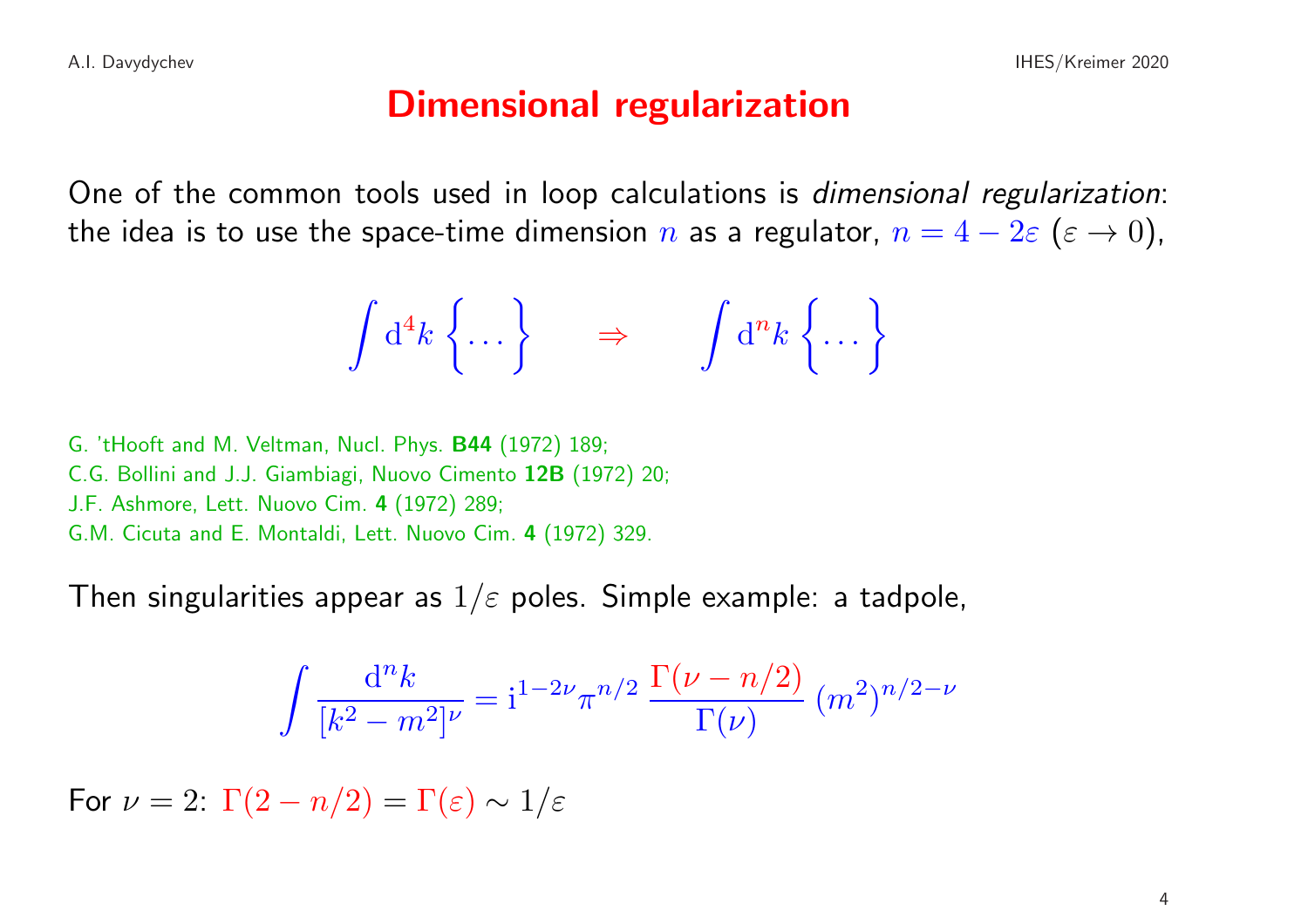#### Dimensional regularization

One of the common tools used in loop calculations is dimensional regularization: the idea is to use the space-time dimension n as a regulator,  $n = 4 - 2\varepsilon$  ( $\varepsilon \to 0$ ),

$$
\int d^4k \left\{\dots \right\} \qquad \Rightarrow \qquad \int d^n k \left\{\dots \right\}
$$

G. 'tHooft and M. Veltman, Nucl. Phys. B44 (1972) 189; C.G. Bollini and J.J. Giambiagi, Nuovo Cimento 12B (1972) 20; J.F. Ashmore, Lett. Nuovo Cim. <sup>4</sup> (1972) 289; G.M. Cicuta and E. Montaldi, Lett. Nuovo Cim. <sup>4</sup> (1972) 329.

Then singularities appear as  $1/\varepsilon$  poles. Simple example: a tadpole,

$$
\int \frac{d^n k}{[k^2 - m^2]^\nu} = i^{1 - 2\nu} \pi^{n/2} \frac{\Gamma(\nu - n/2)}{\Gamma(\nu)} (m^2)^{n/2 - \nu}
$$

For  $\nu = 2$ :  $\Gamma(2 - n/2) = \Gamma(\varepsilon) \sim 1/\varepsilon$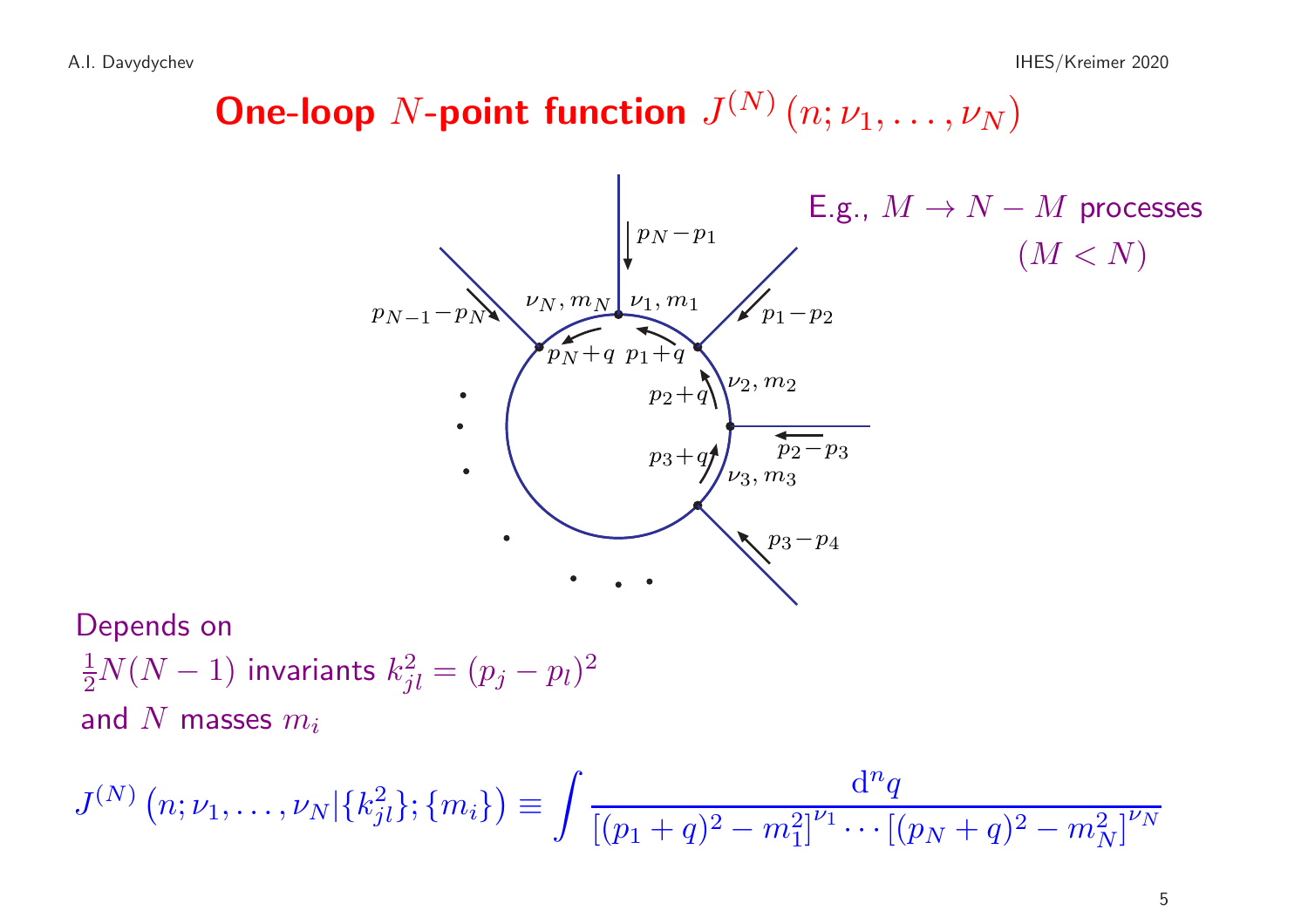# **One-loop** N-point function  $J^{(N)}(n; \nu_1, \ldots, \nu_N)$



Depends on  $\frac{1}{2}N(N-1)$  invariants  $k_{jl}^2=(p_j-p_l)^2$ and N masses  $m_i$ 

$$
J^{(N)}(n; \nu_1, \ldots, \nu_N | \{k_{jl}^2\}; \{m_i\}) \equiv \int \frac{d^n q}{[(p_1+q)^2 - m_1^2]^{\nu_1} \cdots [(p_N+q)^2 - m_N^2]^{\nu_N}}
$$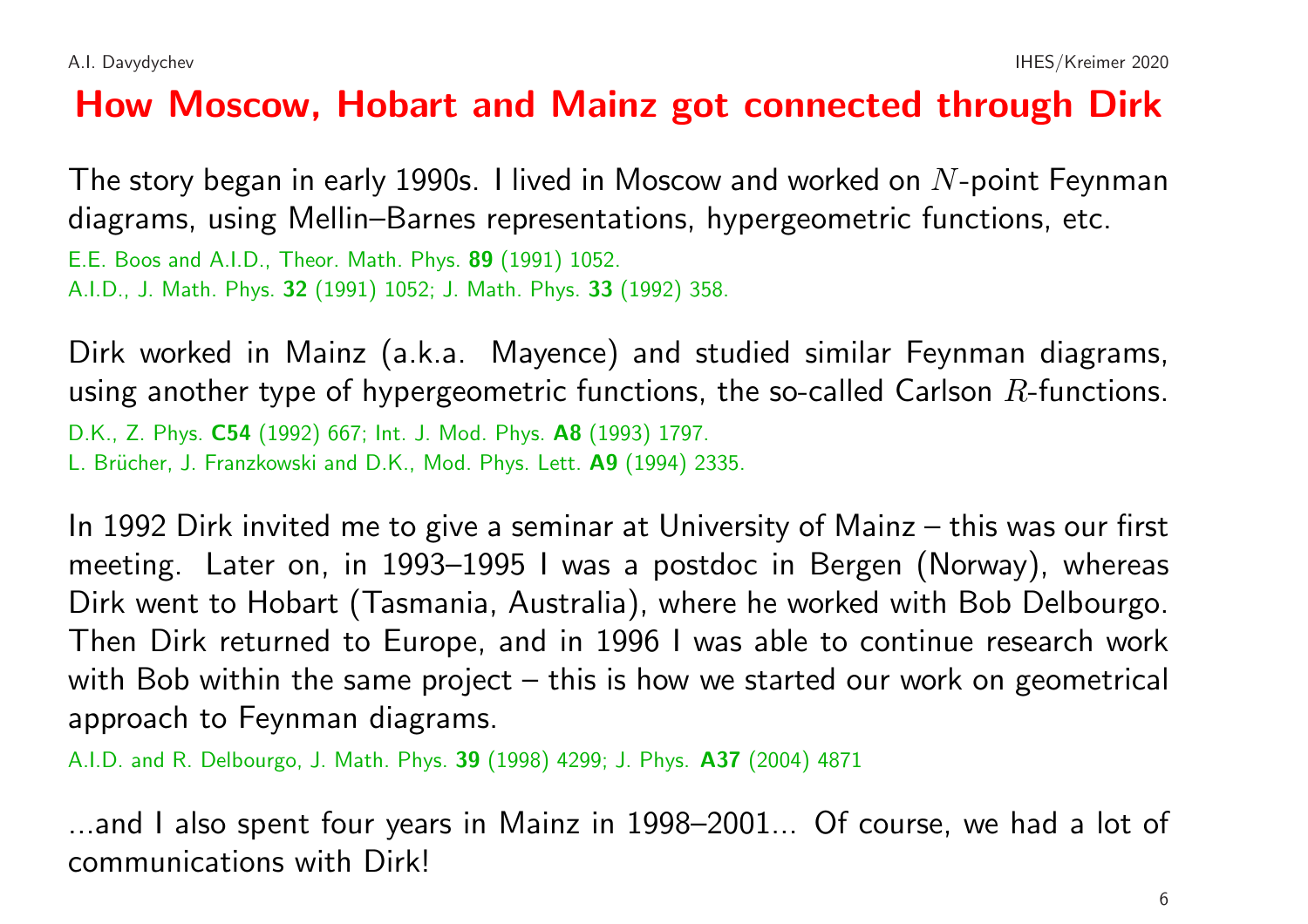## How Moscow, Hobart and Mainz got connected through Dirk

The story began in early 1990s. I lived in Moscow and worked on  $N$ -point Feynman diagrams, using Mellin–Barnes representations, hypergeometric functions, etc. E.E. Boos and A.I.D., Theor. Math. Phys. 89 (1991) 1052. A.I.D., J. Math. Phys. 32 (1991) 1052; J. Math. Phys. 33 (1992) 358.

Dirk worked in Mainz (a.k.a. Mayence) and studied similar Feynman diagrams, using another type of hypergeometric functions, the so-called Carlson  $R$ -functions. D.K., Z. Phys. C54 (1992) 667; Int. J. Mod. Phys. A8 (1993) 1797. L. Brücher, J. Franzkowski and D.K., Mod. Phys. Lett. A9 (1994) 2335.

In 1992 Dirk invited me to give <sup>a</sup> seminar at University of Mainz – this was our first meeting. Later on, in 1993–1995 <sup>I</sup> was <sup>a</sup> postdoc in Bergen (Norway), whereas Dirk went to Hobart (Tasmania, Australia), where he worked with Bob Delbourgo. Then Dirk returned to Europe, and in 1996 I was able to continue research work with Bob within the same project – this is how we started our work on geometrical approach to Feynman diagrams.

A.I.D. and R. Delbourgo, J. Math. Phys. 39 (1998) 4299; J. Phys. A37 (2004) <sup>4871</sup>

...and I also spent four years in Mainz in 1998–2001... Of course, we had <sup>a</sup> lot of communications with Dirk!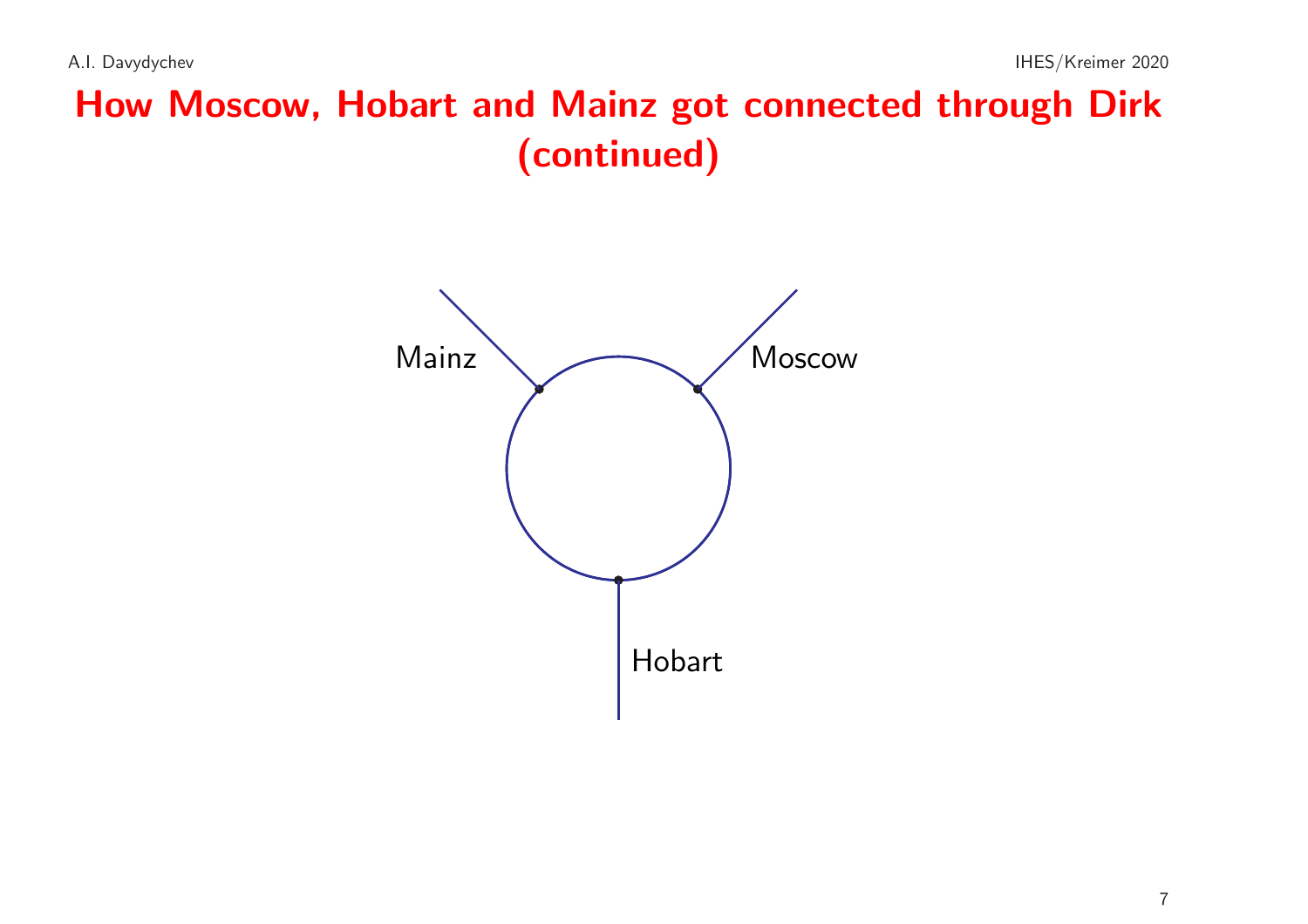# How Moscow, Hobart and Mainz got connected through Dirk (continued)

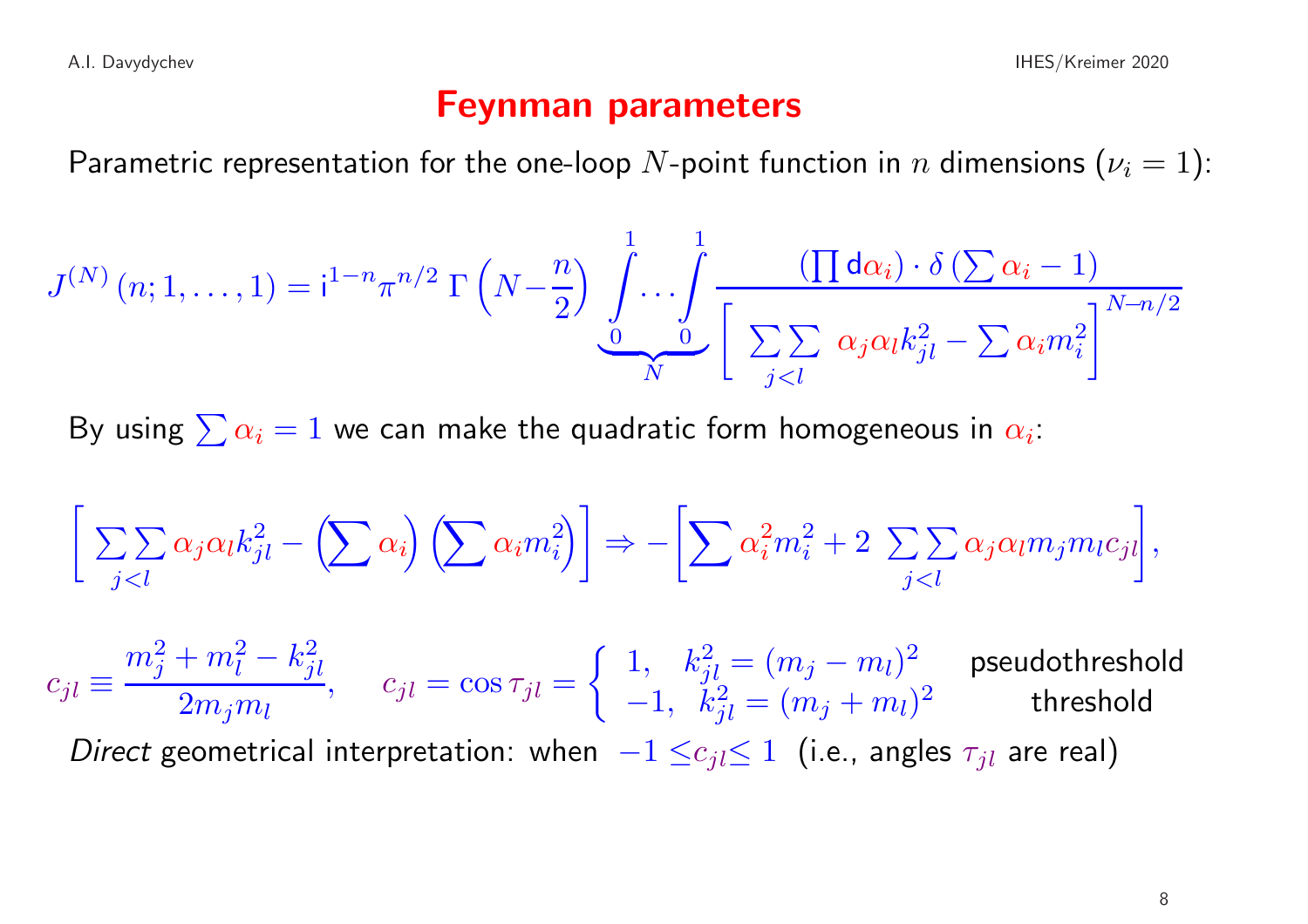#### Feynman parameters

Parametric representation for the one-loop N-point function in n dimensions  $(\nu_i = 1)$ :

$$
J^{(N)}(n;1,\ldots,1) = i^{1-n}\pi^{n/2} \Gamma\left(N - \frac{n}{2}\right) \underbrace{\int \cdots \int}_{0}^{1} \frac{(\prod d\alpha_i) \cdot \delta\left(\sum \alpha_i - 1\right)}{\left[\sum_{j < l} \alpha_j \alpha_l k_{jl}^2 - \sum \alpha_i m_i^2\right]^{N - n/2}}
$$

By using  $\sum \alpha_i = 1$  we can make the quadratic form homogeneous in  $\alpha_i$ :

$$
\left[\sum_{j
$$

 $c_{jl} \equiv$  $m_j^2 + m_l^2 - k_{jl}^2$  $\frac{1}{2m_jm_l},\hspace{0.5cm} c_{jl}=\cos\tau_{jl}=\left\{\begin{array}{ll} 1,\hspace{0.2cm}k_{jl}^2=(m_j-m_l)^2\ -1,\hspace{0.2cm}k_{jl}^2=(m_j+m_l)^2\end{array}\right. \hspace{0.25cm}\textsf{pseudothreshold}$ 

Direct geometrical interpretation: when  $-1 \leq c_{jl} \leq 1$  (i.e., angles  $\tau_{jl}$  are real)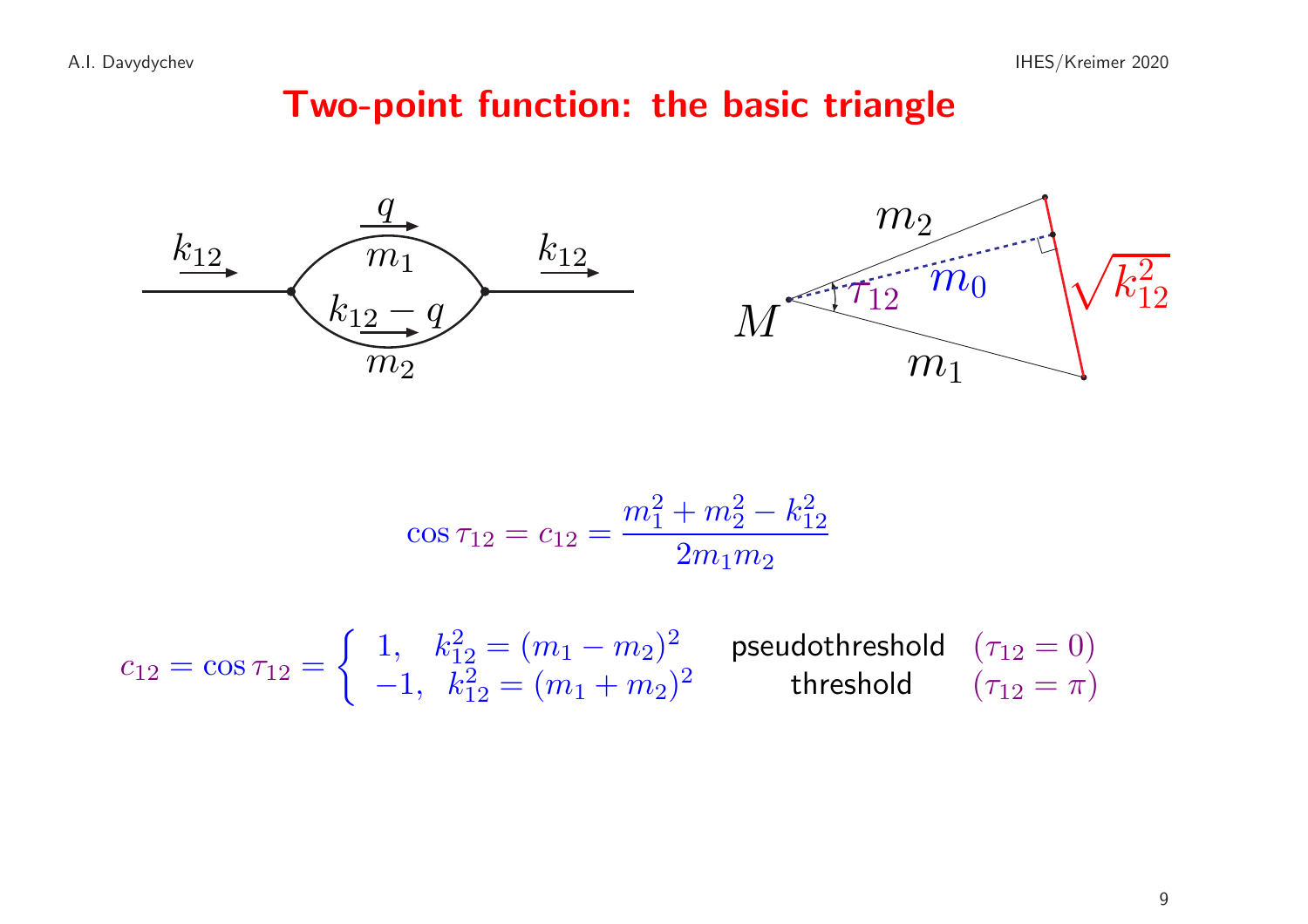# Two-point function: the basic triangle





$$
\cos \tau_{12} = c_{12} = \frac{m_1^2 + m_2^2 - k_{12}^2}{2m_1m_2}
$$

$$
c_{12} = \cos \tau_{12} = \begin{cases} 1, & k_{12}^2 = (m_1 - m_2)^2 \\ -1, & k_{12}^2 = (m_1 + m_2)^2 \end{cases}
$$
 pseudothreshold  $(\tau_{12} = 0)$   
threshold  $(\tau_{12} = \pi)$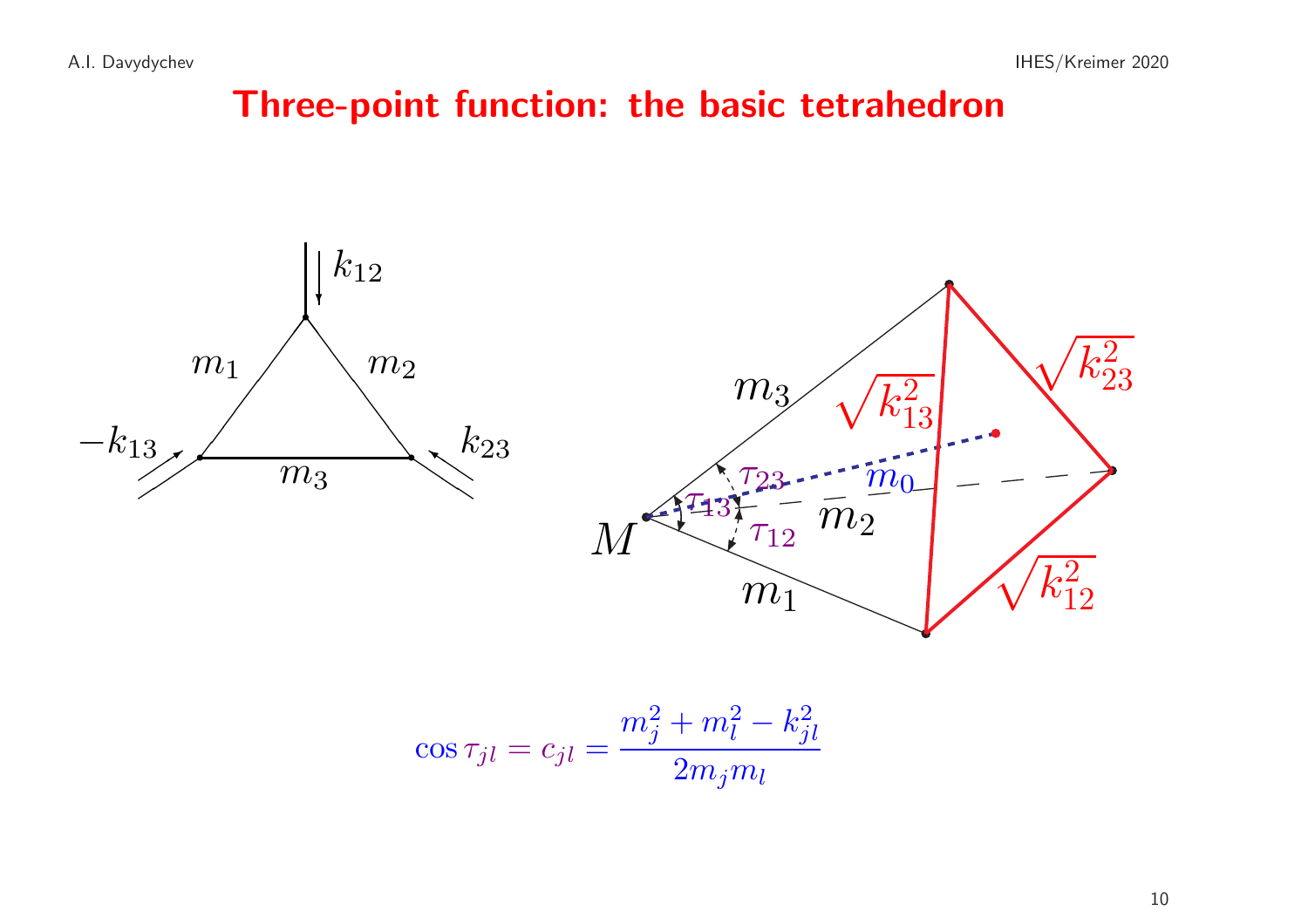## Three-point function: the basic tetrahedron



$$
\cos \tau_{jl} = c_{jl} = \frac{m_j^2 + m_l^2 - k_{jl}^2}{2m_j m_l}
$$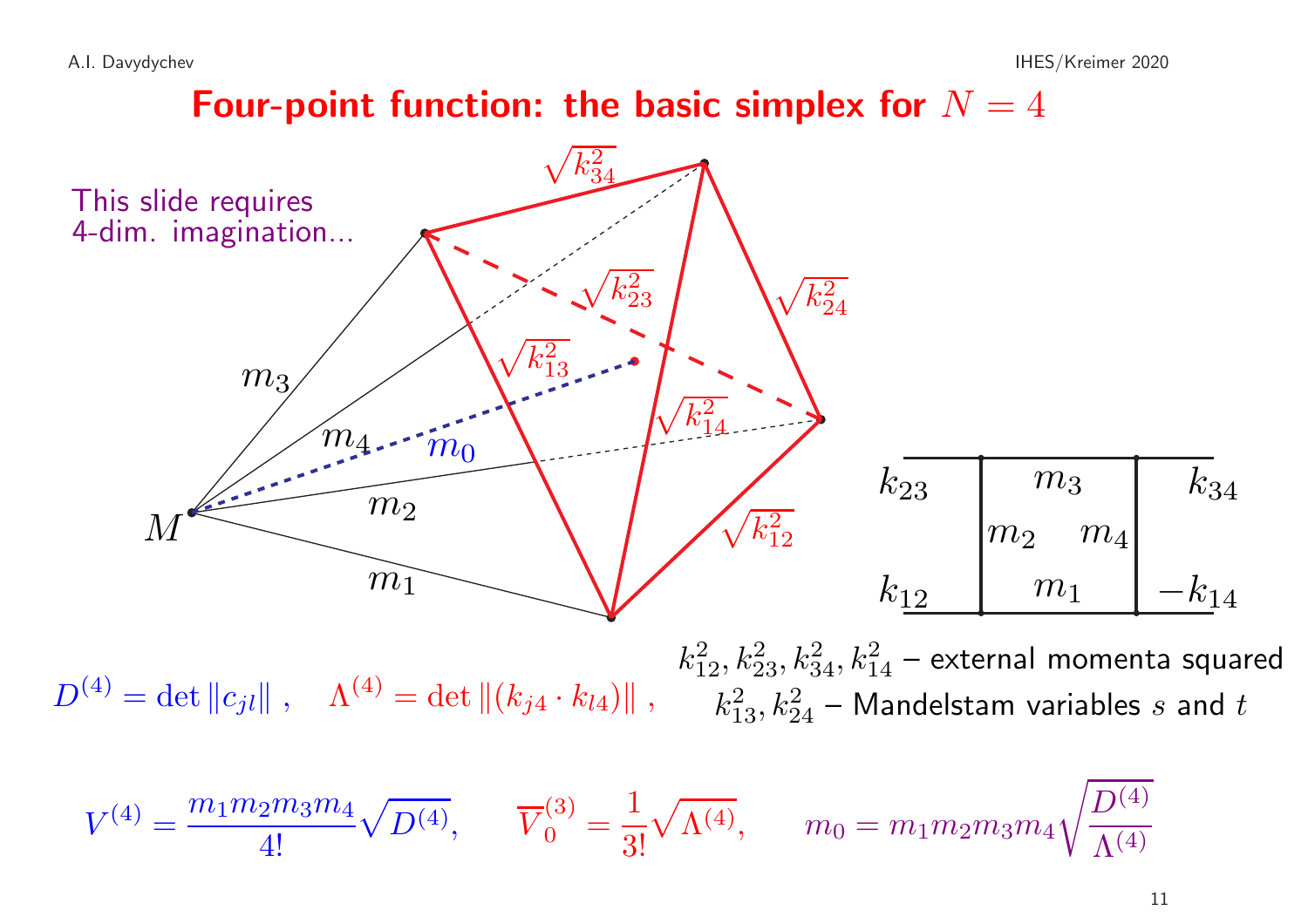Four-point function: the basic simplex for  $N=4$ 



 $D^{(4)}=\det\|c_{jl}\|~, \quad \Lambda^{(4)}=\det\|(k_{j4}\cdot k_{l4})\|~, \quad \overline{\phantom{a}k_{13}^2,k_{24}^2-}$  Mandelstam variables  $s$  and  $t$  $k_{12}^2, k_{23}^2, k_{34}^2, k_{14}^2$  – external momenta squared

$$
V^{(4)} = \frac{m_1 m_2 m_3 m_4}{4!} \sqrt{D^{(4)}}, \qquad \overline{V}_0^{(3)} = \frac{1}{3!} \sqrt{\Lambda^{(4)}}, \qquad m_0 = m_1 m_2 m_3 m_4 \sqrt{\frac{D^{(4)} }{\Lambda^{(4)}}}
$$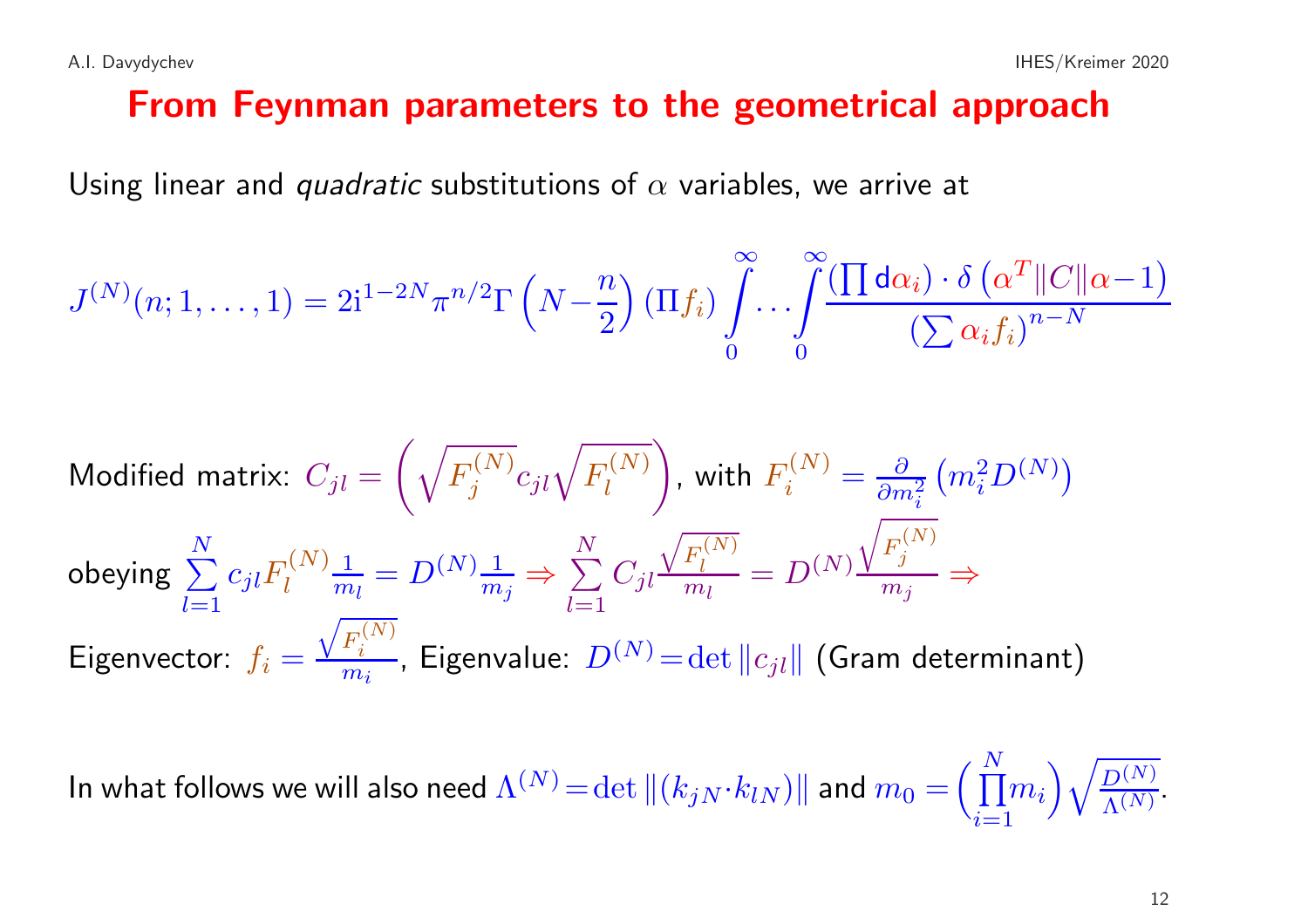Using linear and *quadratic* substitutions of  $\alpha$  variables, we arrive at

$$
J^{(N)}(n; 1, \ldots, 1) = 2i^{1-2N} \pi^{n/2} \Gamma \left(N - \frac{n}{2}\right) \left(\Pi f_i\right) \int_{0}^{\infty} \ldots \int_{0}^{\infty} \frac{\left(\prod d\alpha_i\right) \cdot \delta \left(\alpha^T \|C\|\alpha - 1\right)}{\left(\sum \alpha_i f_i\right)^{n-N}}
$$

Modified matrix:

\n
$$
C_{jl} = \left(\sqrt{F_j^{(N)}} c_{jl} \sqrt{F_l^{(N)}}\right), \text{ with } F_i^{(N)} = \frac{\partial}{\partial m_i^2} \left(m_i^2 D^{(N)}\right)
$$
\nobeying

\n
$$
\sum_{l=1}^{N} c_{jl} F_l^{(N)} \frac{1}{m_l} = D^{(N)} \frac{1}{m_j} \Rightarrow \sum_{l=1}^{N} C_{jl} \frac{\sqrt{F_l^{(N)}}}{m_l} = D^{(N)} \frac{\sqrt{F_j^{(N)}}}{m_j} \Rightarrow
$$
\nEigenvector:

\n
$$
f_i = \frac{\sqrt{F_i^{(N)}}}{m_i}, \text{ Eigenvalue: } D^{(N)} = \det \|c_{jl}\| \text{ (Gram determinant)}
$$

In what follows we will also need  $\Lambda^{(N)}= \det \|(k_{jN} \cdot k_{lN})\|$  and  $m_0 = \left(\prod_{i=1}^N m_i\right)\sqrt{\frac{D^{(N)}}{\Lambda^{(N)}}}}$ .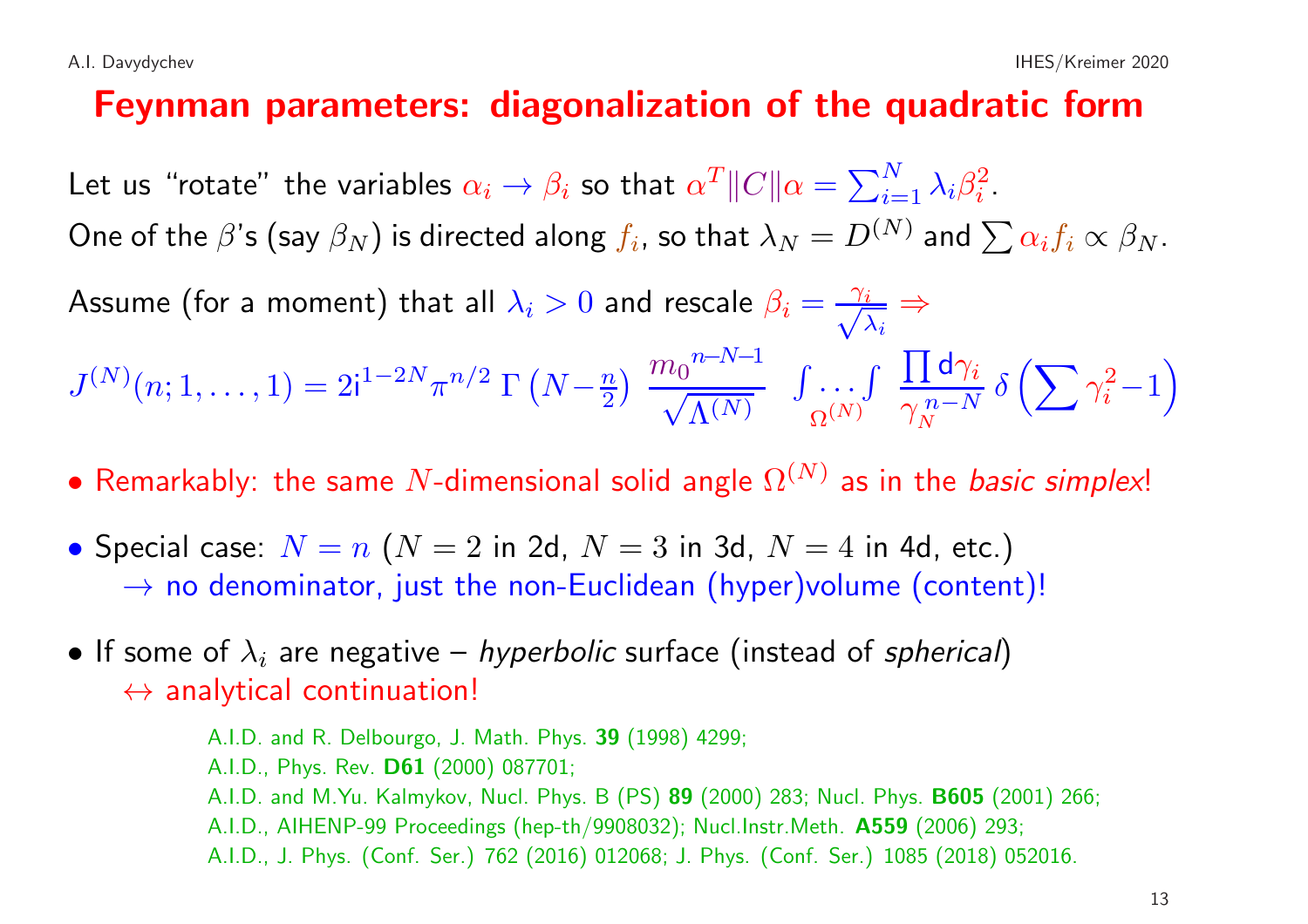#### Feynman parameters: diagonalization of the quadratic form

Let us "rotate" the variables  $\alpha_i \to \beta_i$  so that  $\alpha^T \|C\| \alpha = \sum_{i=1}^N \lambda_i \beta_i^2$ .

One of the  $\beta$ 's (say  $\beta_N$ ) is directed along  $f_i$ , so that  $\lambda_N = D^{(N)}$  and  $\sum \alpha_i f_i \propto \beta_N$ .

Assume (for a moment) that all  $\lambda_i > 0$  and rescale  $\beta_i = \frac{\gamma_i}{\sqrt{\lambda_i}} \Rightarrow$ 

$$
J^{(N)}(n;1,\ldots,1)=2\mathrm{i}^{1-2N}\pi^{n/2}\;\Gamma\left(N-\tfrac{n}{2}\right)\;\dfrac{m_0^{n-N-1}}{\sqrt{\Lambda^{(N)}}}\;\;\int\limits_{\Omega^{(N)}}\cdot\cdot\cdot\int\limits_{\gamma_N} \dfrac{\prod \mathsf{d}\gamma_i}{\gamma_N^{n-N}}\;\delta\left(\sum \gamma_i^2-1\right)
$$

- Remarkably: the same N-dimensional solid angle  $\Omega^{(N)}$  as in the *basic simplex!*
- Special case:  $N = n$  ( $N = 2$  in 2d,  $N = 3$  in 3d,  $N = 4$  in 4d, etc.)  $\rightarrow$  no denominator, just the non-Euclidean (hyper)volume (content)!
- If some of  $\lambda_i$  are negative *hyperbolic* surface (instead of *spherical*)  $\leftrightarrow$  analytical continuation!

A.I.D. and R. Delbourgo, J. Math. Phys. 39 (1998) 4299; A.I.D., Phys. Rev. D61 (2000) 087701; A.I.D. and M.Yu. Kalmykov, Nucl. Phys. <sup>B</sup> (PS) 89 (2000) 283; Nucl. Phys. B605 (2001) 266; A.I.D., AIHENP-99 Proceedings (hep-th/9908032); Nucl.Instr.Meth. A559 (2006) 293; A.I.D., J. Phys. (Conf. Ser.) <sup>762</sup> (2016) 012068; J. Phys. (Conf. Ser.) <sup>1085</sup> (2018) 052016.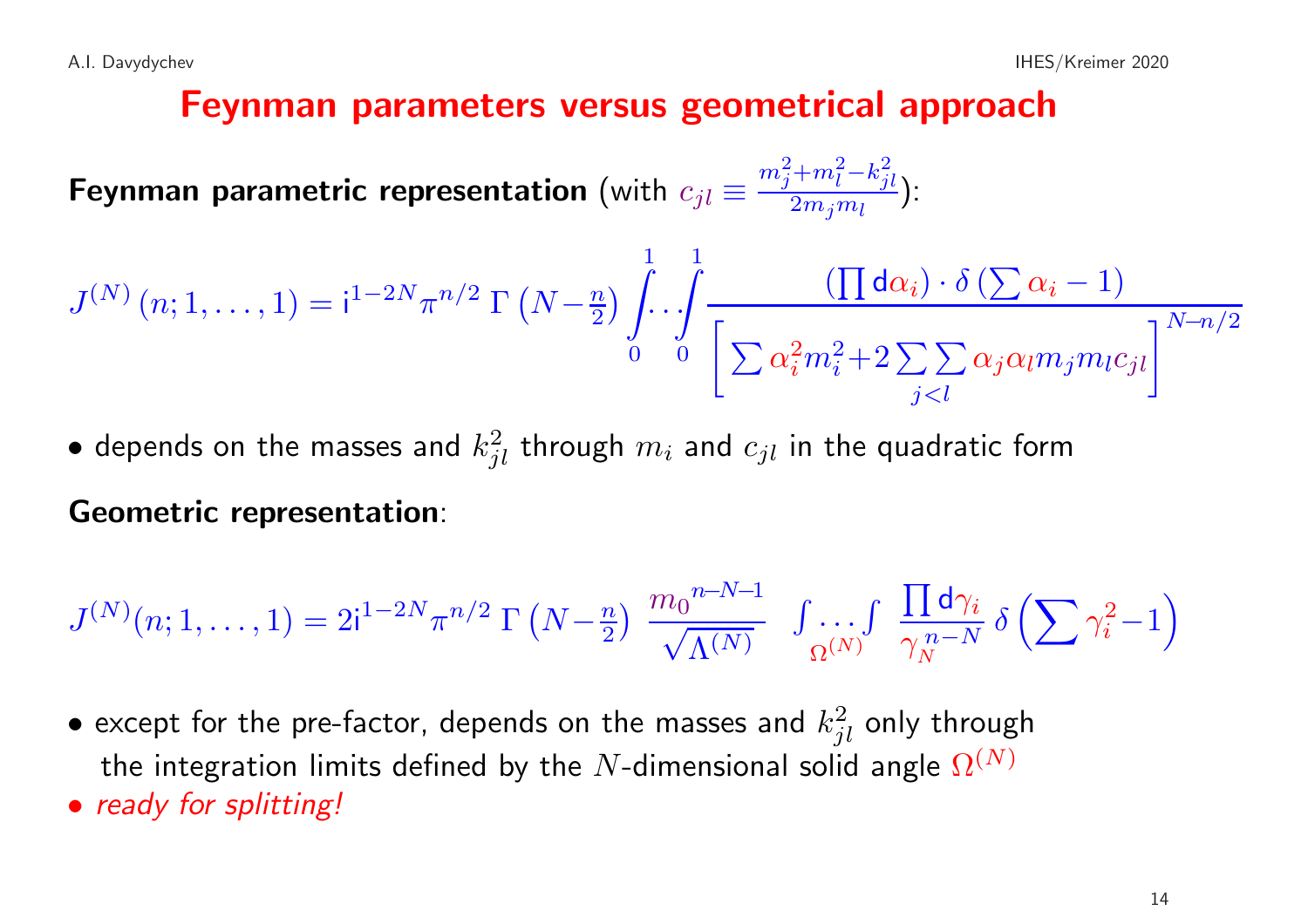#### Feynman parameters versus geometrical approach

Feynman parametric representation (with  $c_{jl} \equiv \frac{m_j^2 + m_l^2 - k_{jl}^2}{2m_j m_l}$ ):

$$
J^{(N)}(n;1,\ldots,1) = i^{1-2N} \pi^{n/2} \Gamma\left(N-\frac{n}{2}\right) \int_0^1 \int \frac{\left(\prod \mathsf{d}\alpha_i\right) \cdot \delta\left(\sum \alpha_i - 1\right)}{\left[\sum \alpha_i^2 m_i^2 + 2\sum_{j
$$

• depends on the masses and  $k_{il}^2$  through  $m_i$  and  $c_{jl}$  in the quadratic form

#### Geometric representation:

$$
J^{(N)}(n;1,\ldots,1)=2\mathrm{i}^{1-2N}\pi^{n/2}\;\Gamma\left(N-\tfrac{n}{2}\right)\;\dfrac{m_0^{n-N-1}}{\sqrt{\Lambda^{(N)}}}\;\;\int\limits_{\Omega^{(N)}}\cdot\cdot\cdot\int\limits_{\gamma_N} \frac{\prod \mathsf{d}\gamma_i}{\gamma_N^{n-N}}\;\delta\left(\sum \gamma_i^2-1\right)
$$

- except for the pre-factor, depends on the masses and  $k_{jl}^2$  only through the integration limits defined by the N-dimensional solid angle  $\Omega^{(N)}$
- ready for splitting!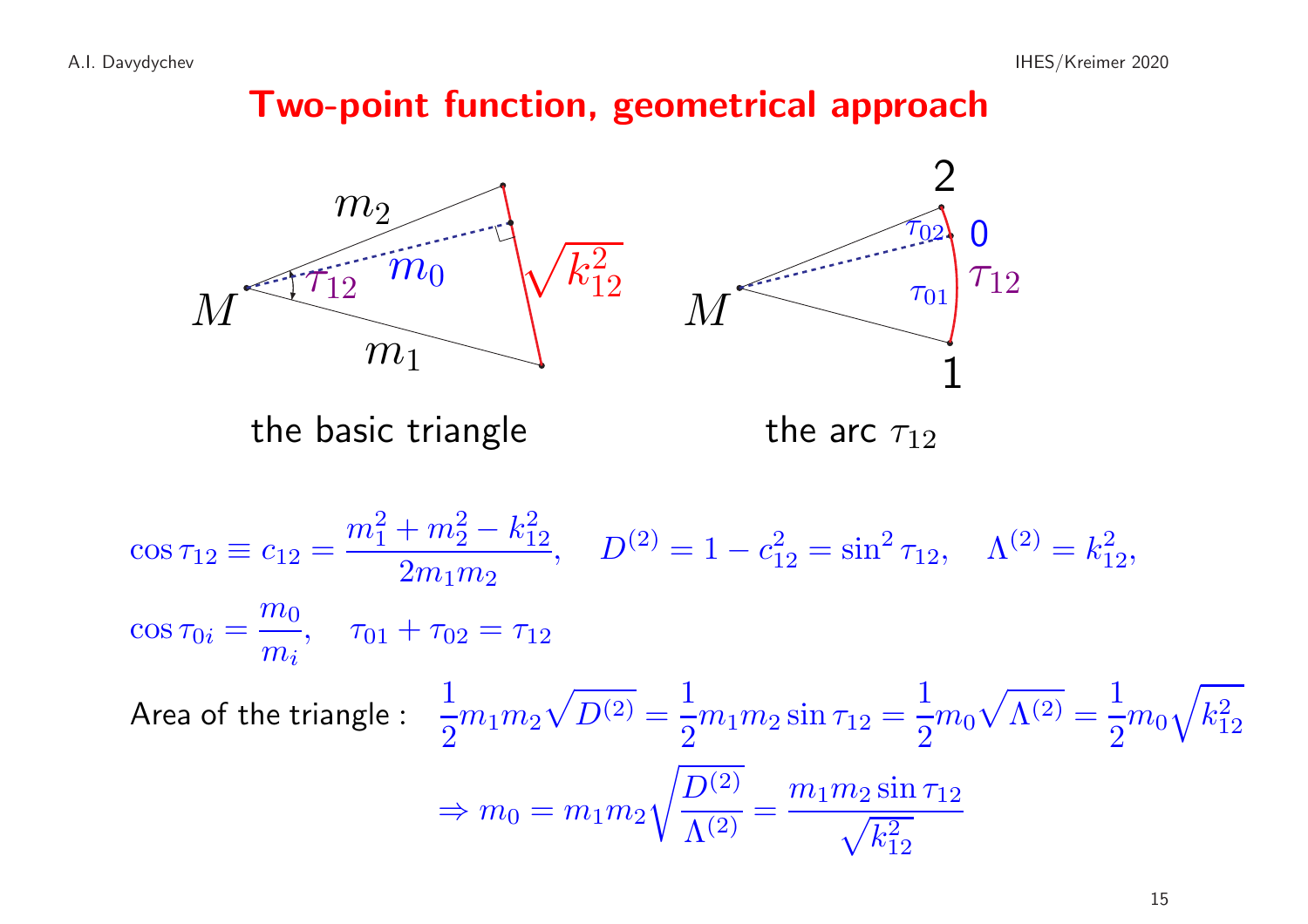## Two-point function, geometrical approach

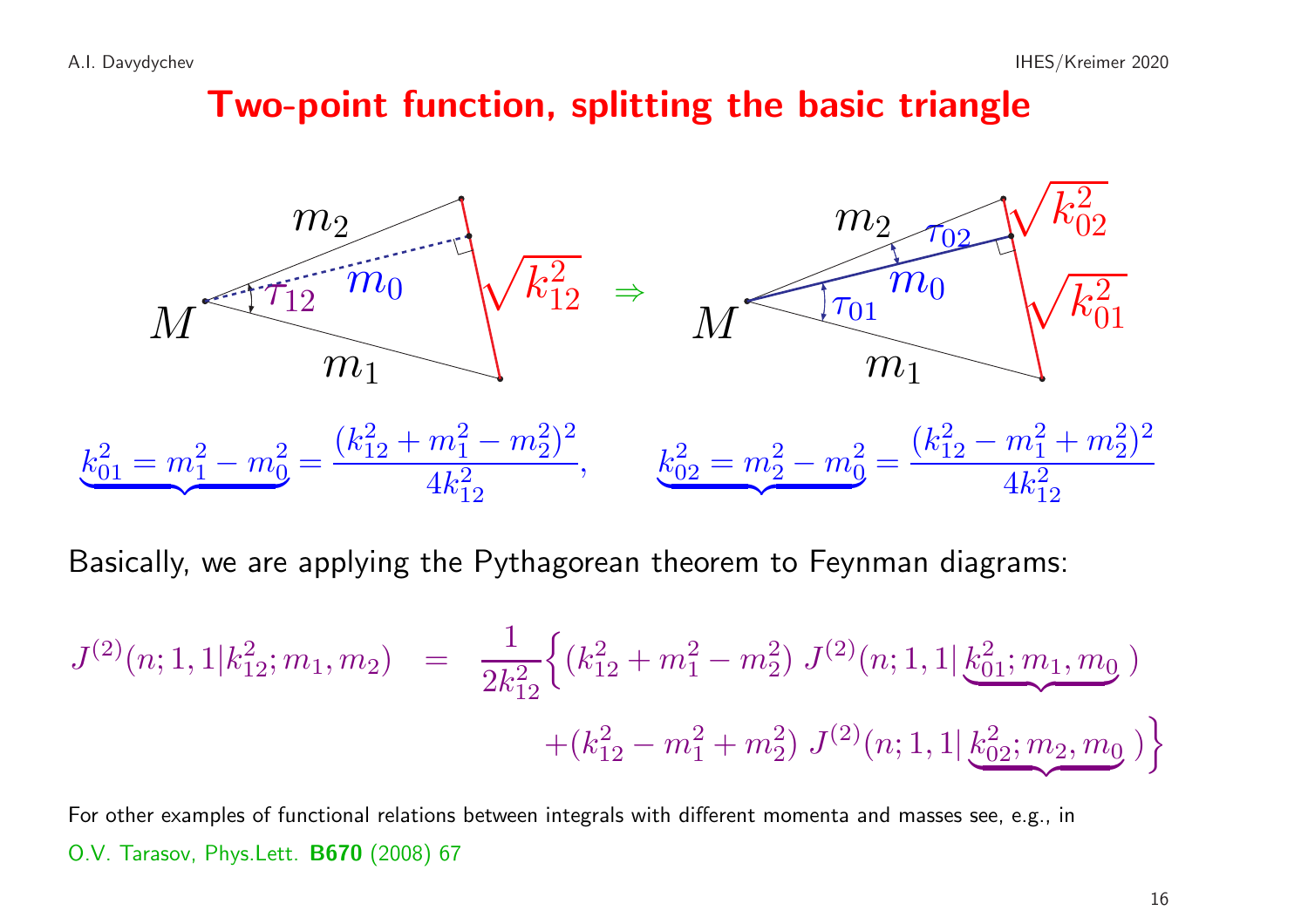## Two-point function, splitting the basic triangle



Basically, we are applying the Pythagorean theorem to Feynman diagrams:

$$
J^{(2)}(n; 1, 1|k_{12}^2; m_1, m_2) = \frac{1}{2k_{12}^2} \Big\{ (k_{12}^2 + m_1^2 - m_2^2) J^{(2)}(n; 1, 1|k_{01}^2; m_1, m_0) + (k_{12}^2 - m_1^2 + m_2^2) J^{(2)}(n; 1, 1|k_{02}^2; m_2, m_0) \Big\}
$$

For other examples of functional relations between integrals with different momenta and masses see, e.g., in O.V. Tarasov, Phys.Lett. B670 (2008) <sup>67</sup>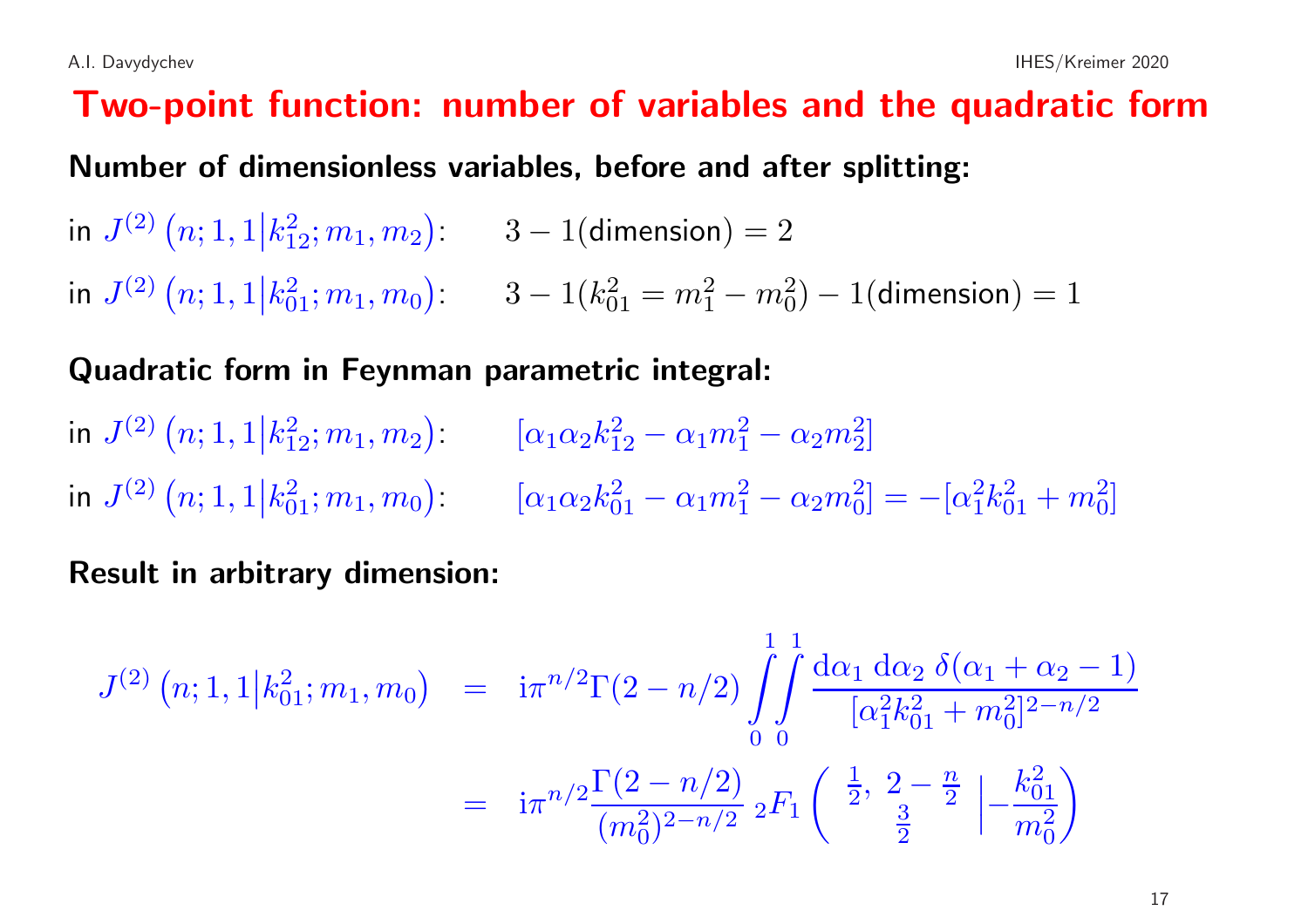# Two-point function: number of variables and the quadratic form Number of dimensionless variables, before and after splitting: in  $J^{(2)}(n; 1, 1 | k_1^2; m_1, m_2)$ : 3 – 1(dimension) = 2 in  $J^{(2)}(n; 1, 1|k_{01}^2; m_1, m_0)$ :  $3-1(k_{01}^2 = m_1^2 - m_0^2) - 1$ (dimension) = 1

#### Quadratic form in Feynman parametric integral:

in  $J^{(2)}(n; 1, 1|k_{12}^2; m_1, m_2)$   $[\alpha_1 \alpha_2 k_{12}^2 - \alpha_1 m_1^2 - \alpha_2 m_2^2]$ in  $J^{(2)}(n; 1, 1|k_{01}^2; m_1, m_0)$ :  $[\alpha_1 \alpha_2 k_{01}^2 - \alpha_1 m_1^2 - \alpha_2 m_0^2] = -[\alpha_1^2 k_{01}^2 + m_0^2]$ 

Result in arbitrary dimension:

$$
J^{(2)}(n; 1, 1 | k_{01}^2; m_1, m_0) = i\pi^{n/2} \Gamma(2 - n/2) \int_0^1 \int_0^1 \frac{d\alpha_1 d\alpha_2 \delta(\alpha_1 + \alpha_2 - 1)}{[\alpha_1^2 k_{01}^2 + m_0^2]^{2 - n/2}}
$$
  
= 
$$
i\pi^{n/2} \frac{\Gamma(2 - n/2)}{(m_0^2)^{2 - n/2}} 2F_1 \left( \frac{1}{2}, \frac{2 - \frac{n}{2}}{\frac{3}{2}} \left| -\frac{k_{01}^2}{m_0^2} \right| \right)
$$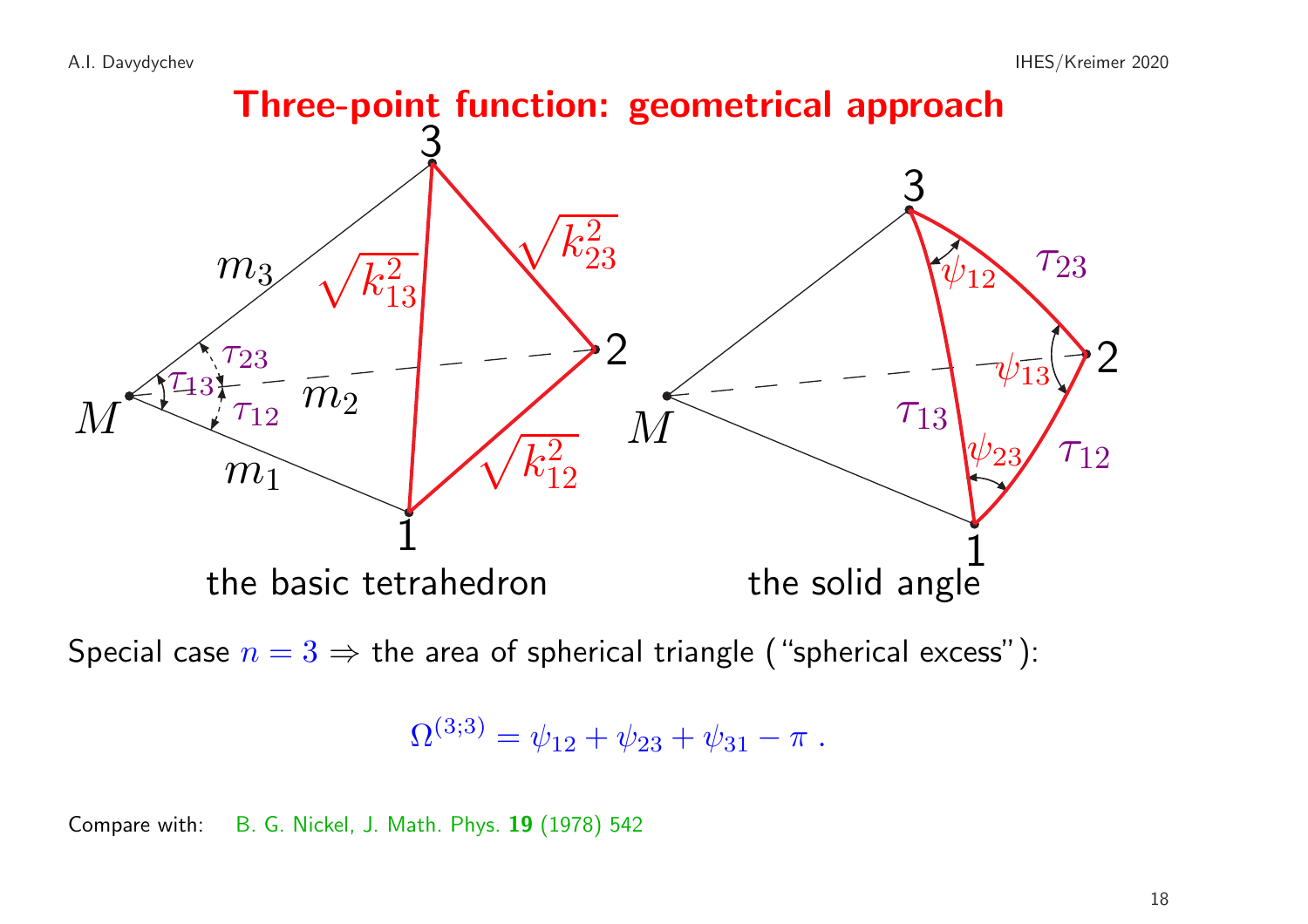

Special case  $n = 3 \Rightarrow$  the area of spherical triangle ("spherical excess"):

$$
\Omega^{(3;3)} = \psi_{12} + \psi_{23} + \psi_{31} - \pi.
$$

Compare with: B. G. Nickel, J. Math. Phys. 19 (1978) <sup>542</sup>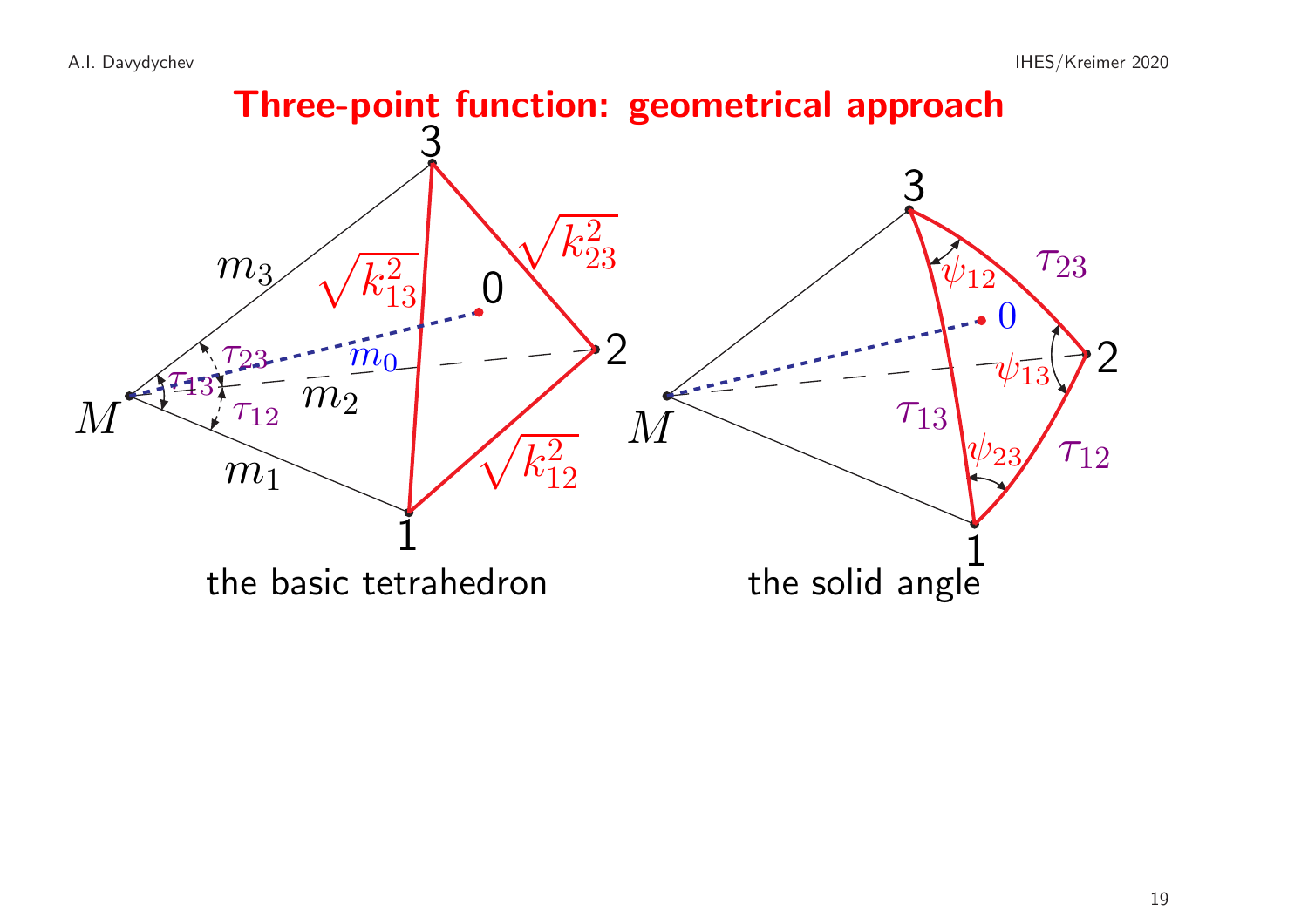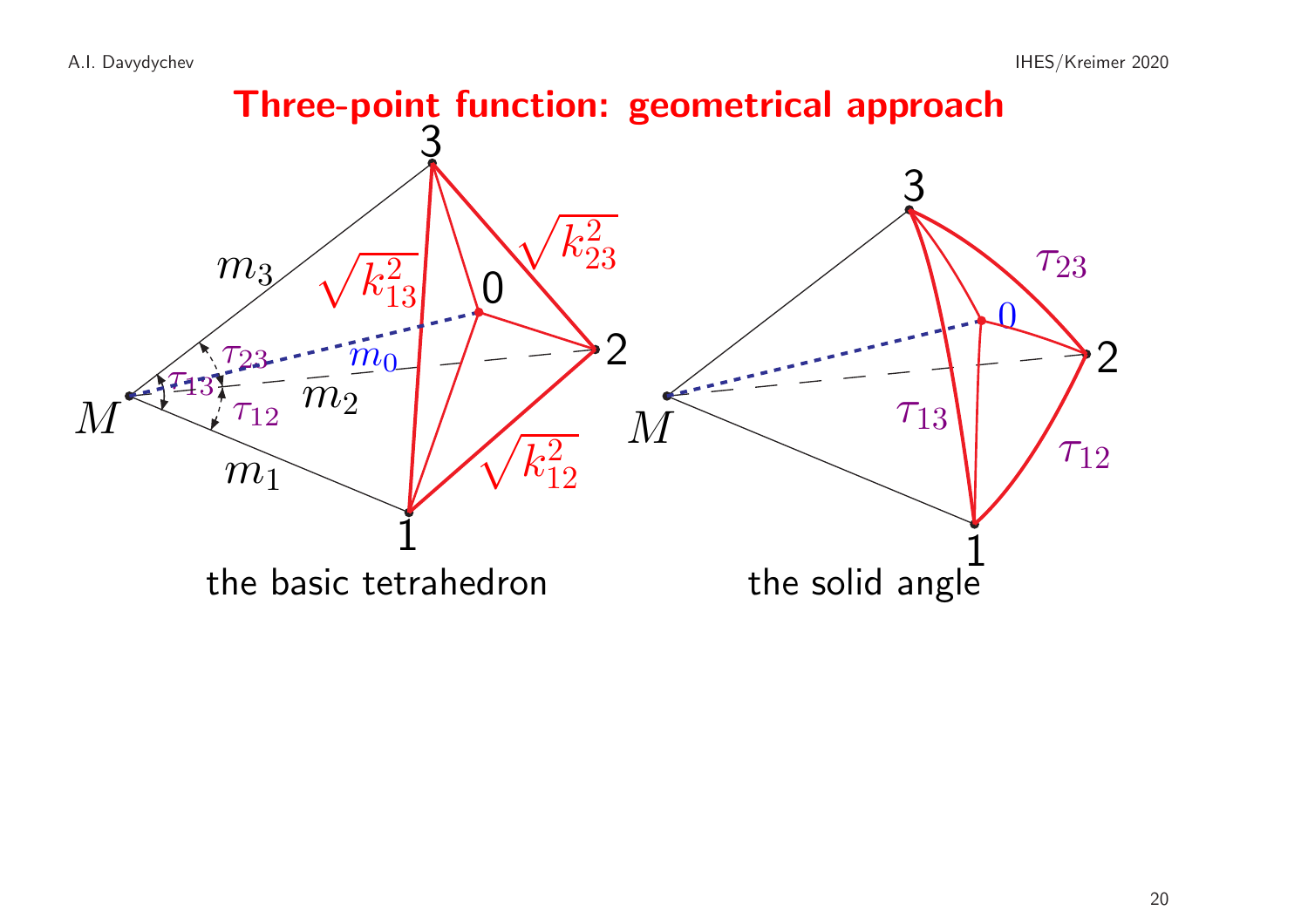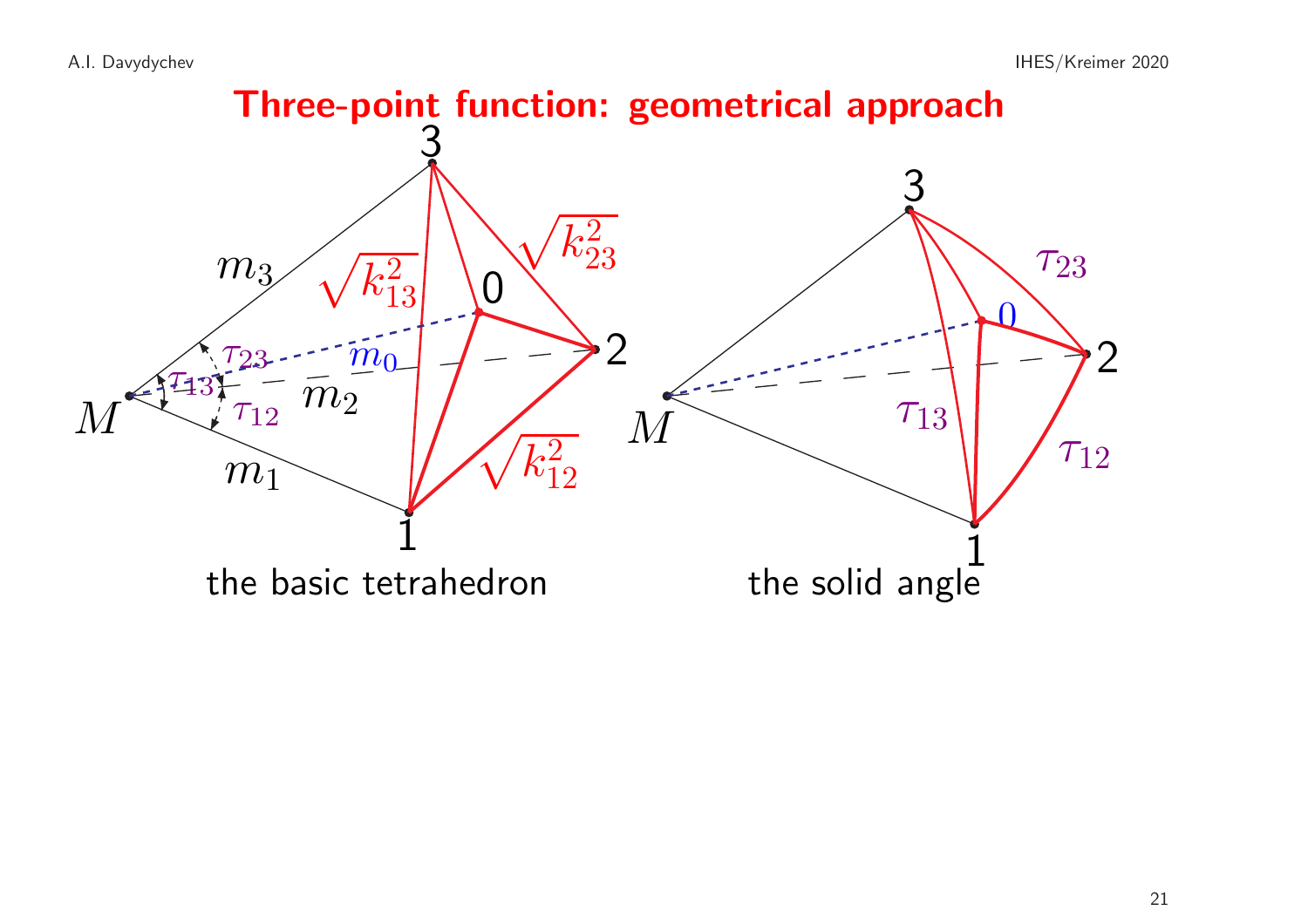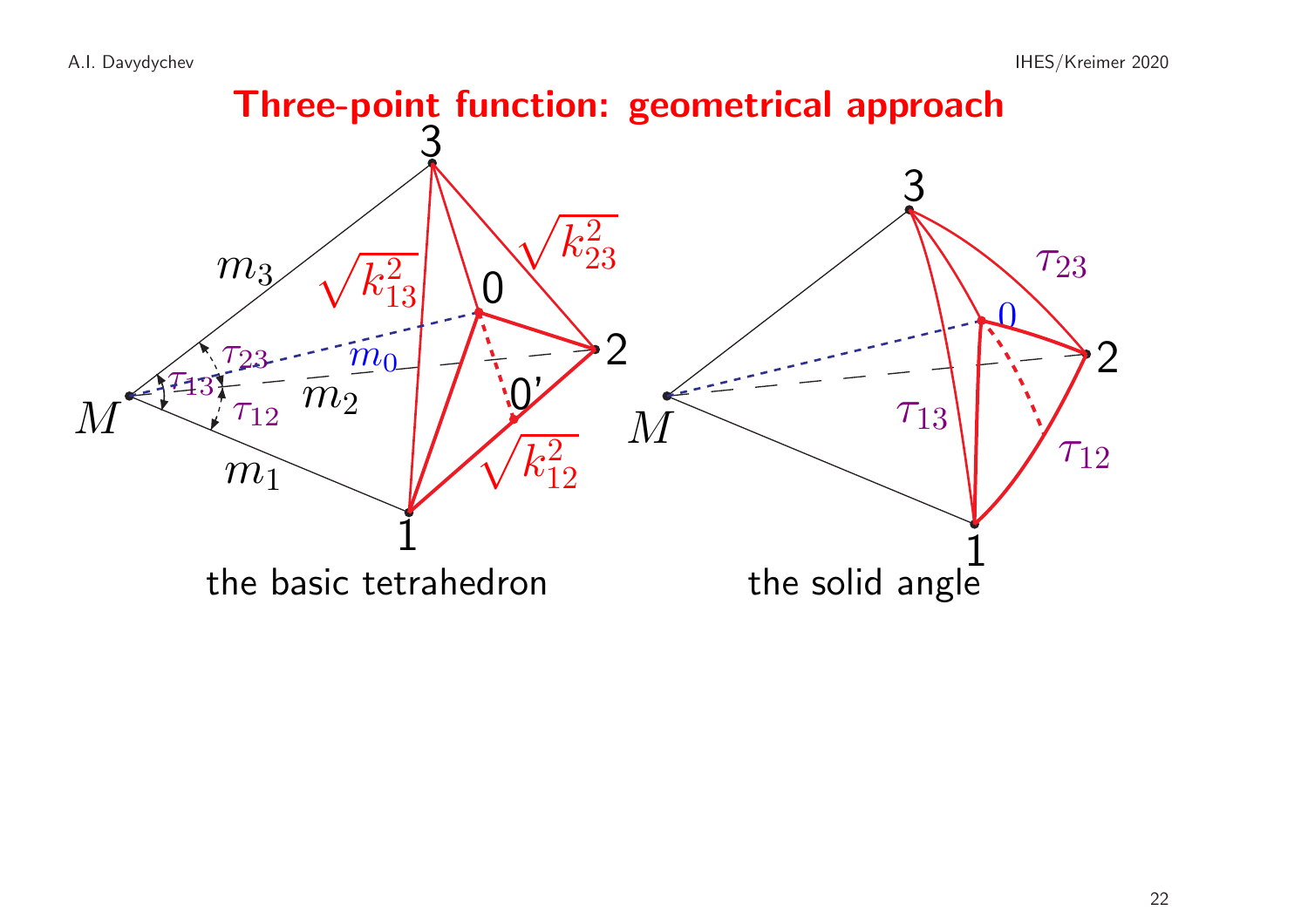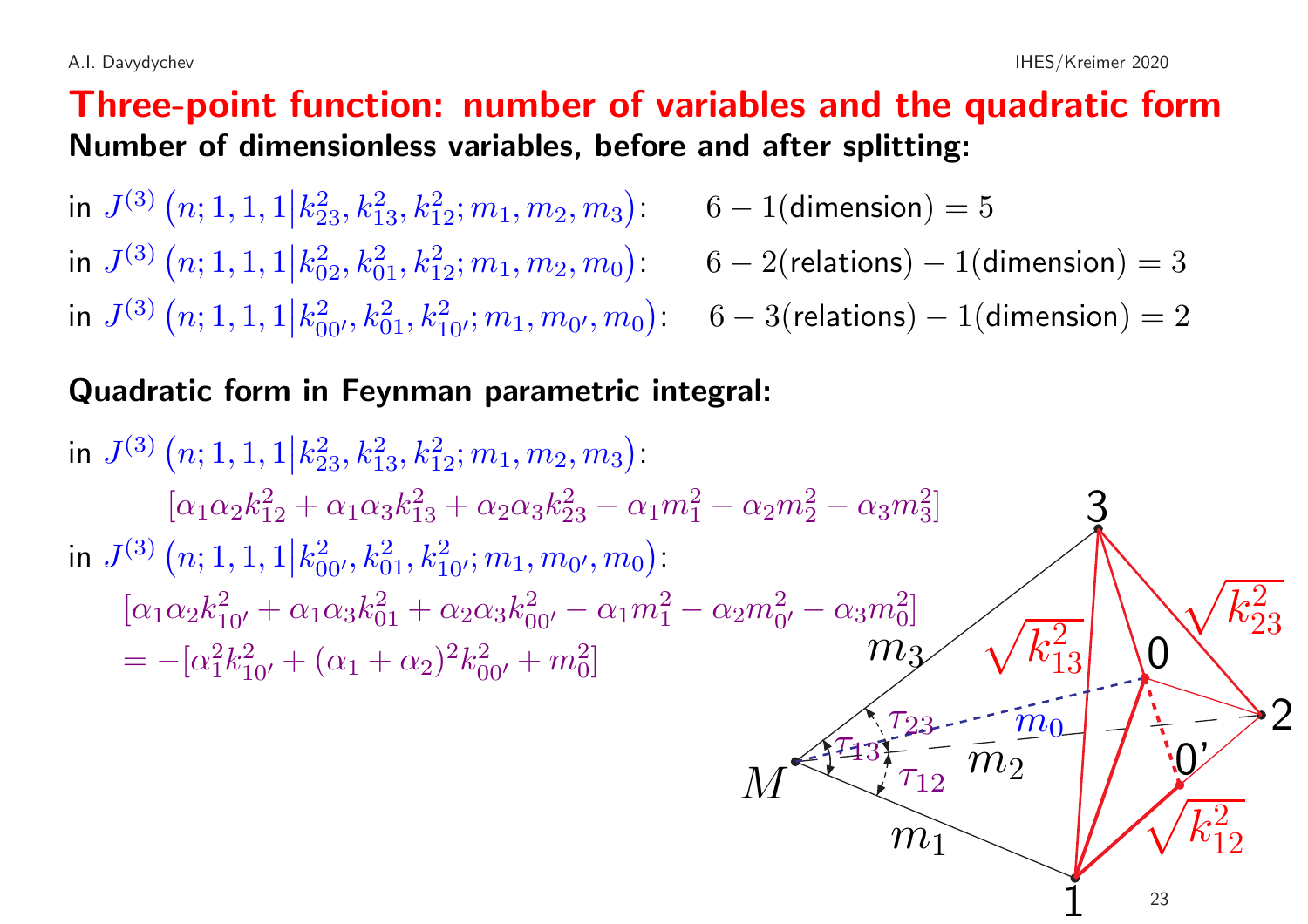#### Three-point function: number of variables and the quadratic form Number of dimensionless variables, before and after splitting:

in  $J^{(3)}(n; 1, 1, 1 | k_{23}^2, k_{13}^2, k_{12}^2; m_1, m_2, m_3)$ : 6 – 1(dimension) = 5 in  $J^{(3)}(n; 1, 1, 1 | k_{02}^2, k_{01}^2, k_{12}^2; m_1, m_2, m_0):$  6 – 2(relations) – 1(dimension) = 3 in  $J^{(3)}(n; 1, 1, 1 | k_{00'}^2, k_{01}^2, k_{10'}^2; m_1, m_{0'}, m_0)$ : 6 - 3(relations) – 1(dimension) = 2

#### Quadratic form in Feynman parametric integral:

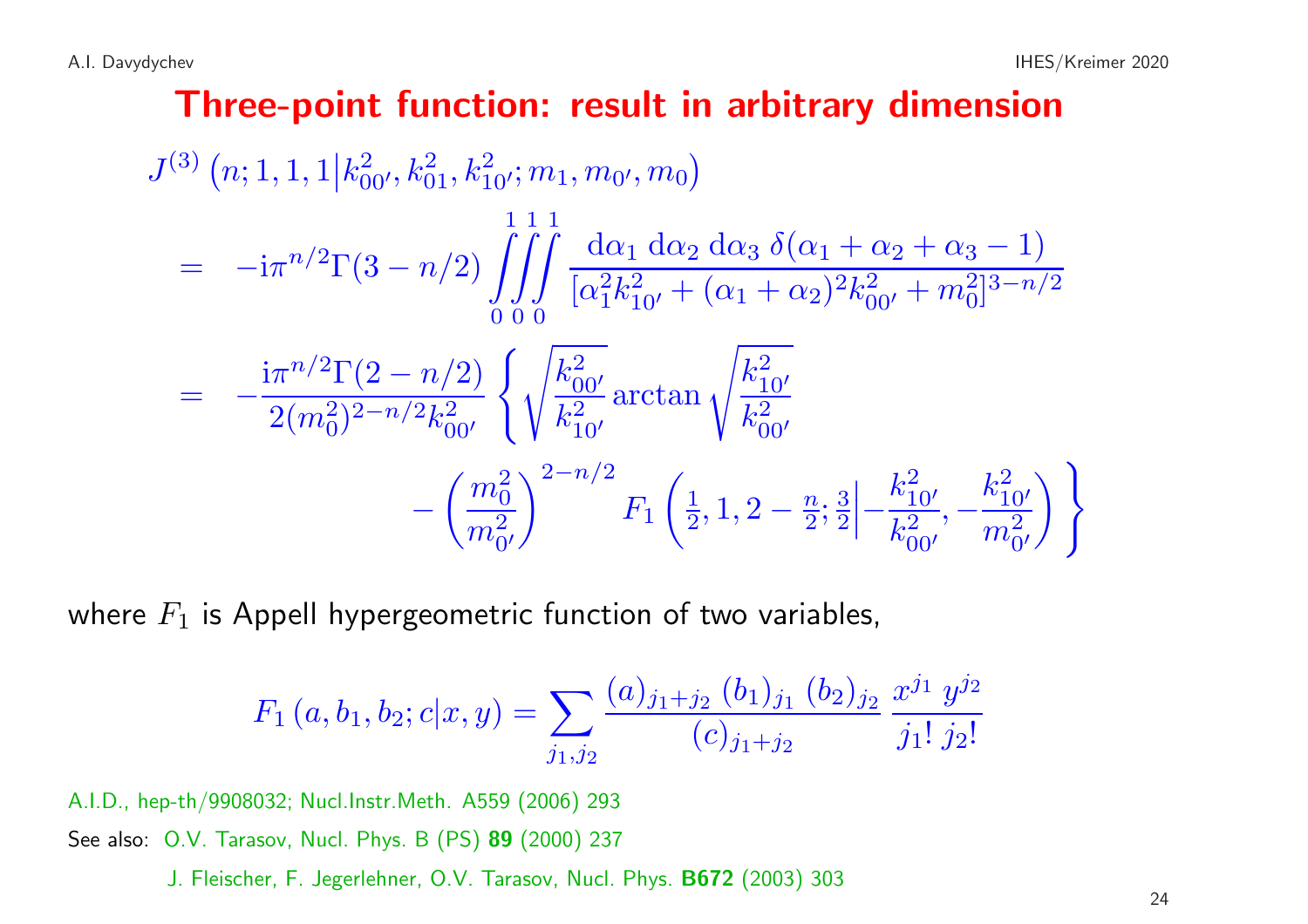#### Three-point function: result in arbitrary dimension

$$
J^{(3)}(n; 1, 1, 1 | k_{00'}^2, k_{01}^2, k_{10'}^2; m_1, m_{0'}, m_0)
$$
  
\n
$$
= -i\pi^{n/2}\Gamma(3 - n/2) \int \int \int \int \frac{d\alpha_1 d\alpha_2 d\alpha_3 \delta(\alpha_1 + \alpha_2 + \alpha_3 - 1)}{[\alpha_1^2 k_{10'}^2 + (\alpha_1 + \alpha_2)^2 k_{00'}^2 + m_0^2]^{3 - n/2}}
$$
  
\n
$$
= -\frac{i\pi^{n/2}\Gamma(2 - n/2)}{2(m_0^2)^{2 - n/2}k_{00'}^2} \left\{ \sqrt{\frac{k_{00'}^2}{k_{10'}^2}} \arctan \sqrt{\frac{k_{10'}^2}{k_{00'}^2}} - \left(\frac{m_0^2}{m_0^2}\right)^{2 - n/2} F_1\left(\frac{1}{2}, 1, 2 - \frac{n}{2}; \frac{3}{2}\right) - \frac{k_{10'}^2}{k_{00'}^2}, -\frac{k_{10'}^2}{m_0^2} \right) \right\}
$$

where  $F_1$  is Appell hypergeometric function of two variables,

$$
F_1(a, b_1, b_2; c | x, y) = \sum_{j_1, j_2} \frac{(a)_{j_1+j_2} (b_1)_{j_1} (b_2)_{j_2}}{(c)_{j_1+j_2}} \frac{x^{j_1} y^{j_2}}{j_1! j_2!}
$$

A.I.D., hep-th/9908032; Nucl.Instr.Meth. A559 (2006) <sup>293</sup> See also: O.V. Tarasov, Nucl. Phys. B (PS) 89 (2000) 237

J. Fleischer, F. Jegerlehner, O.V. Tarasov, Nucl. Phys. B672 (2003) <sup>303</sup>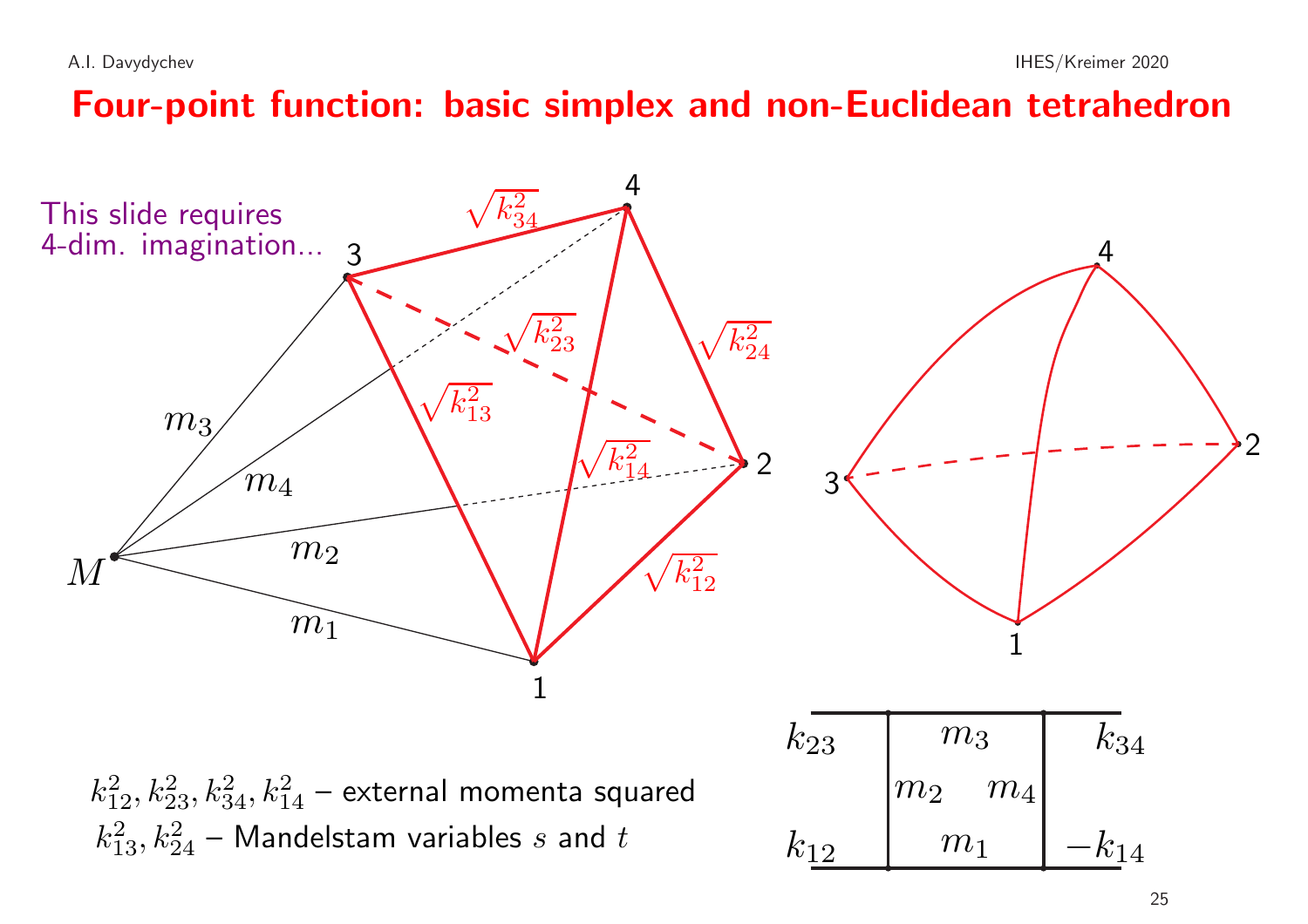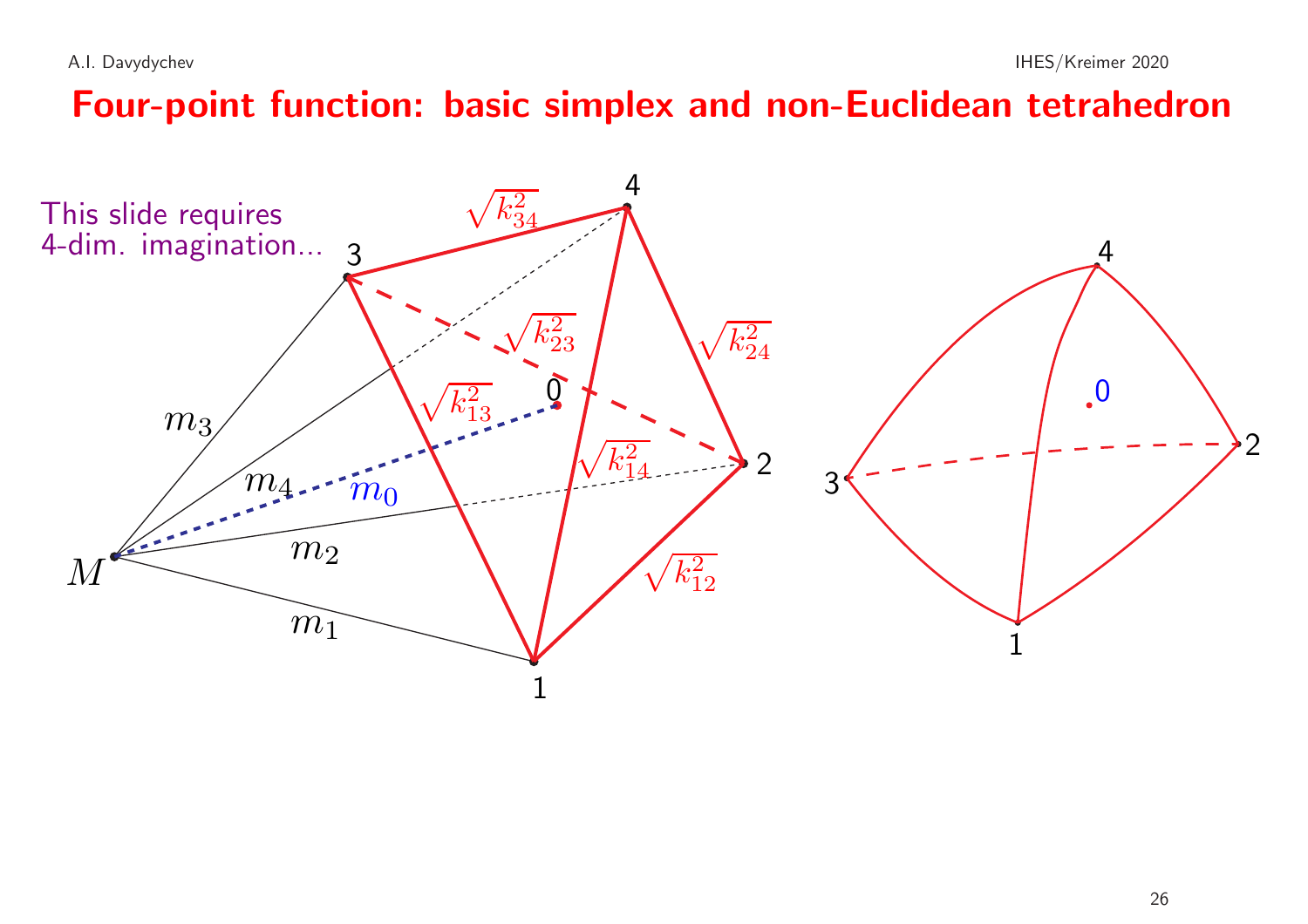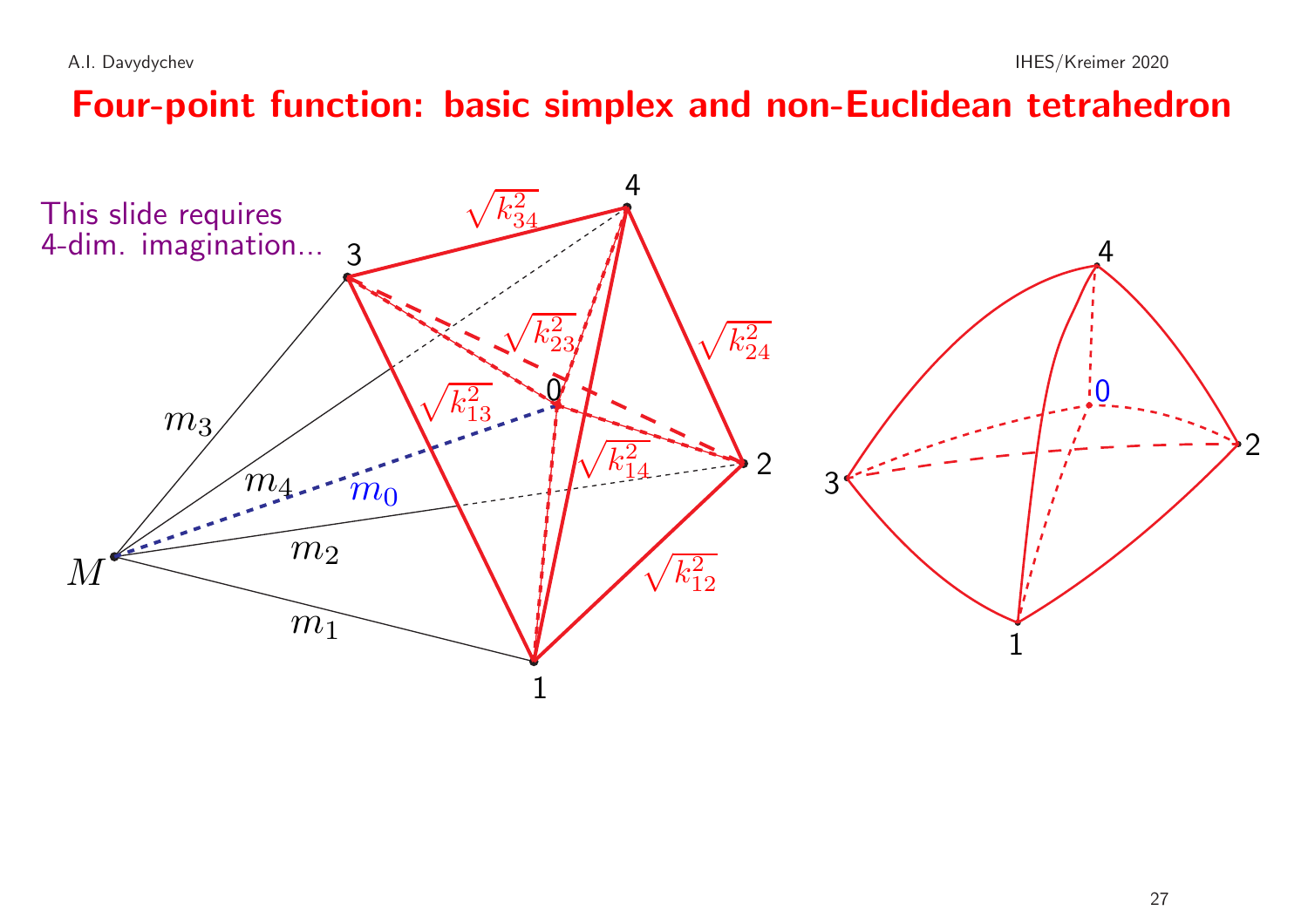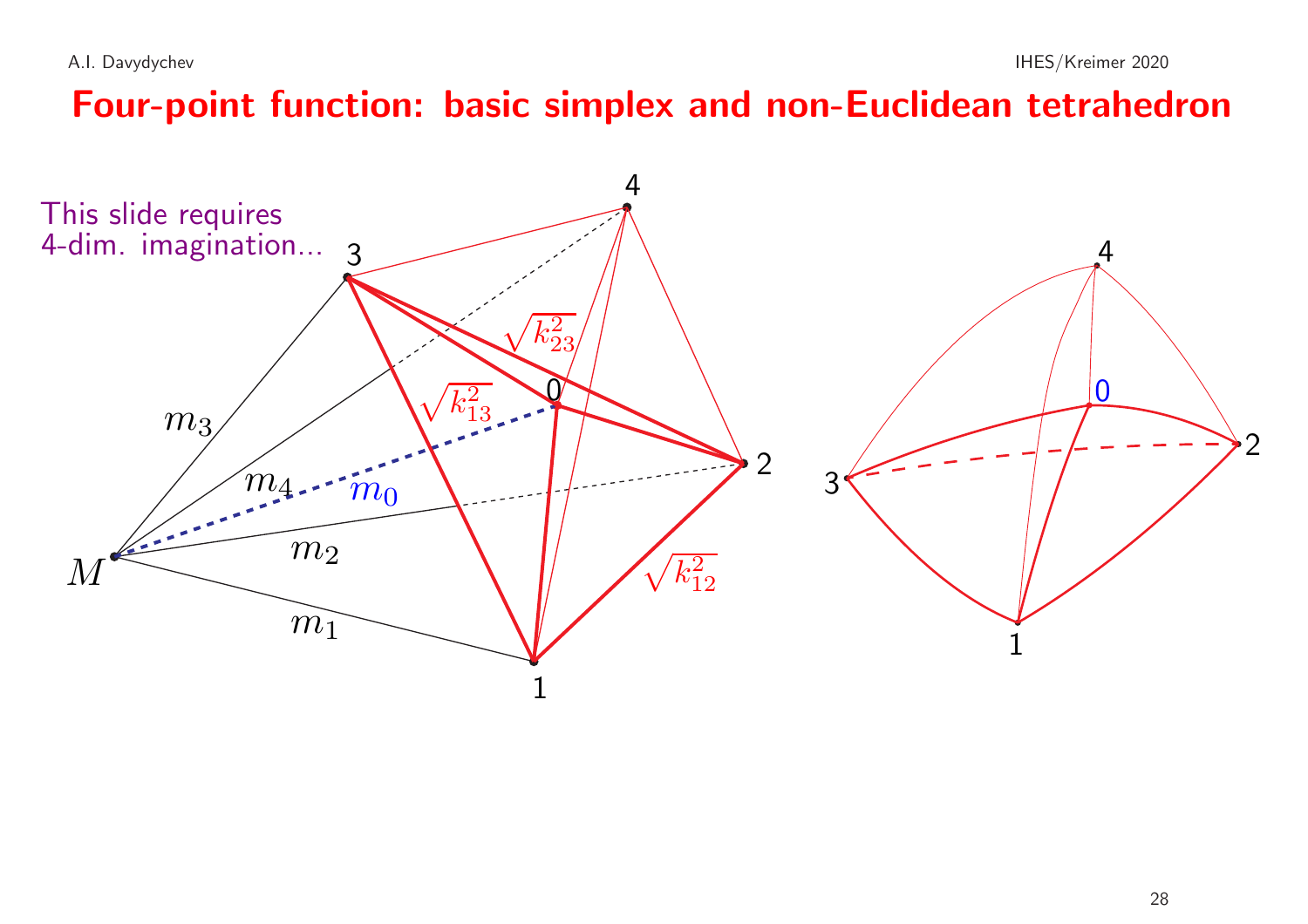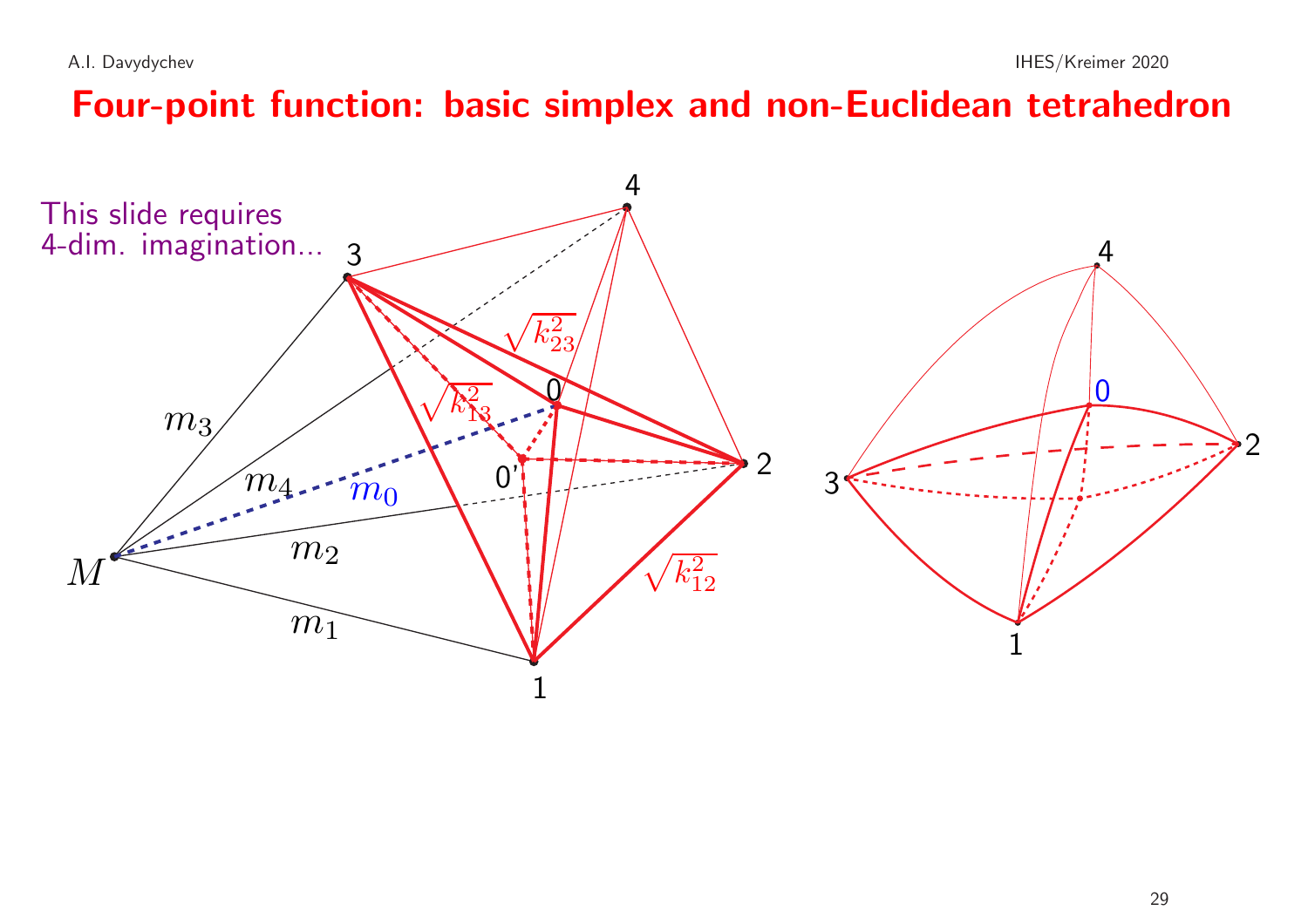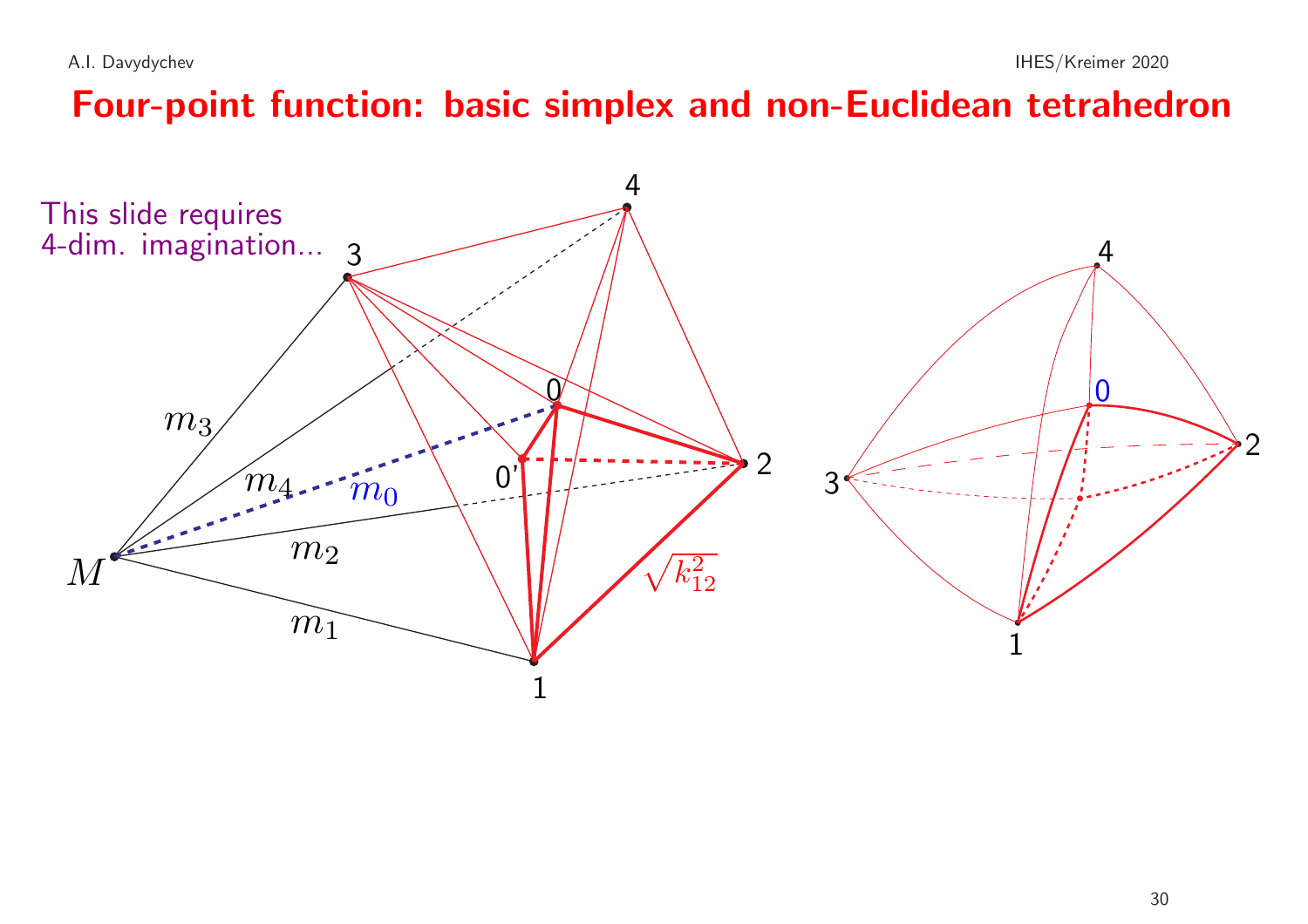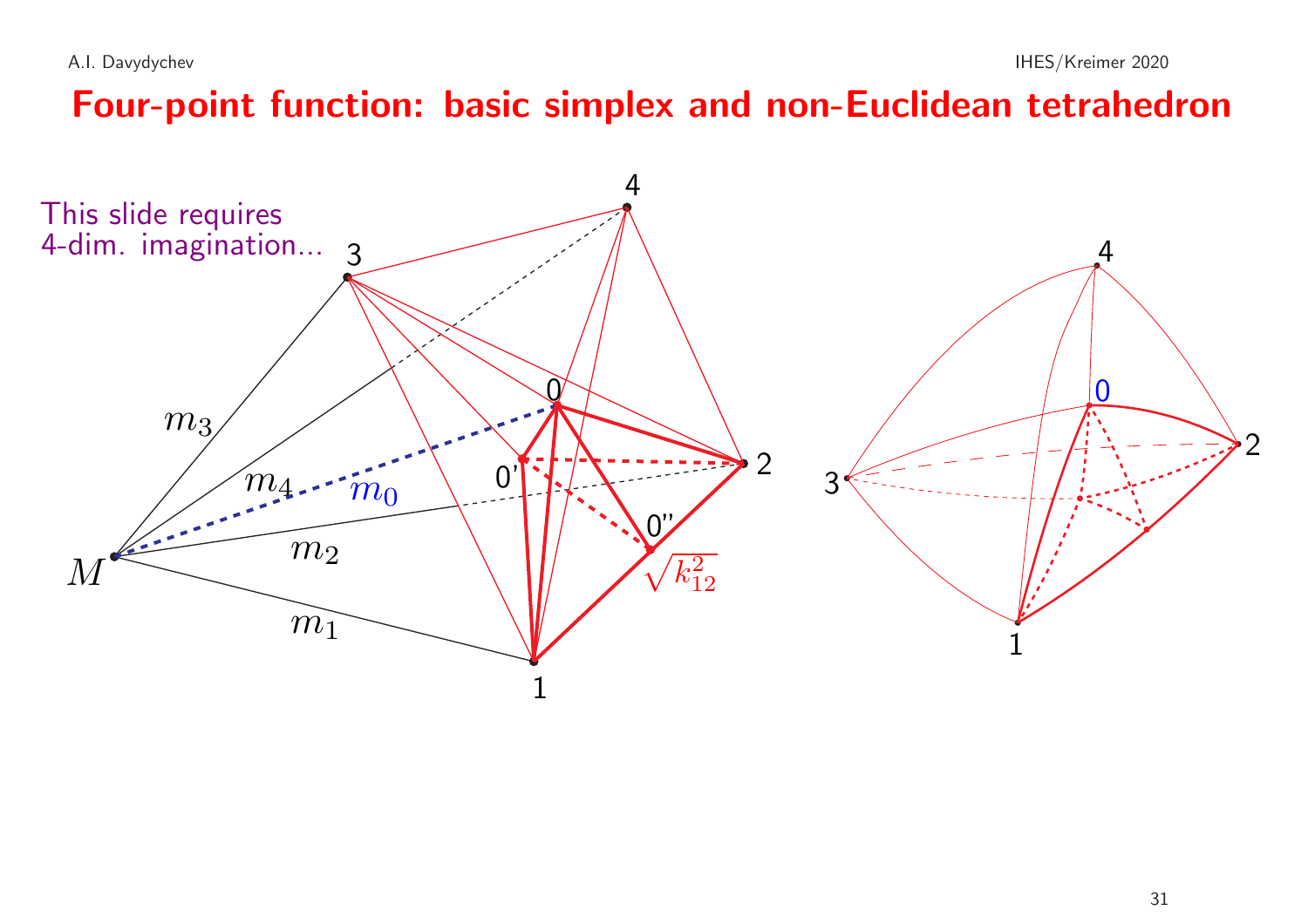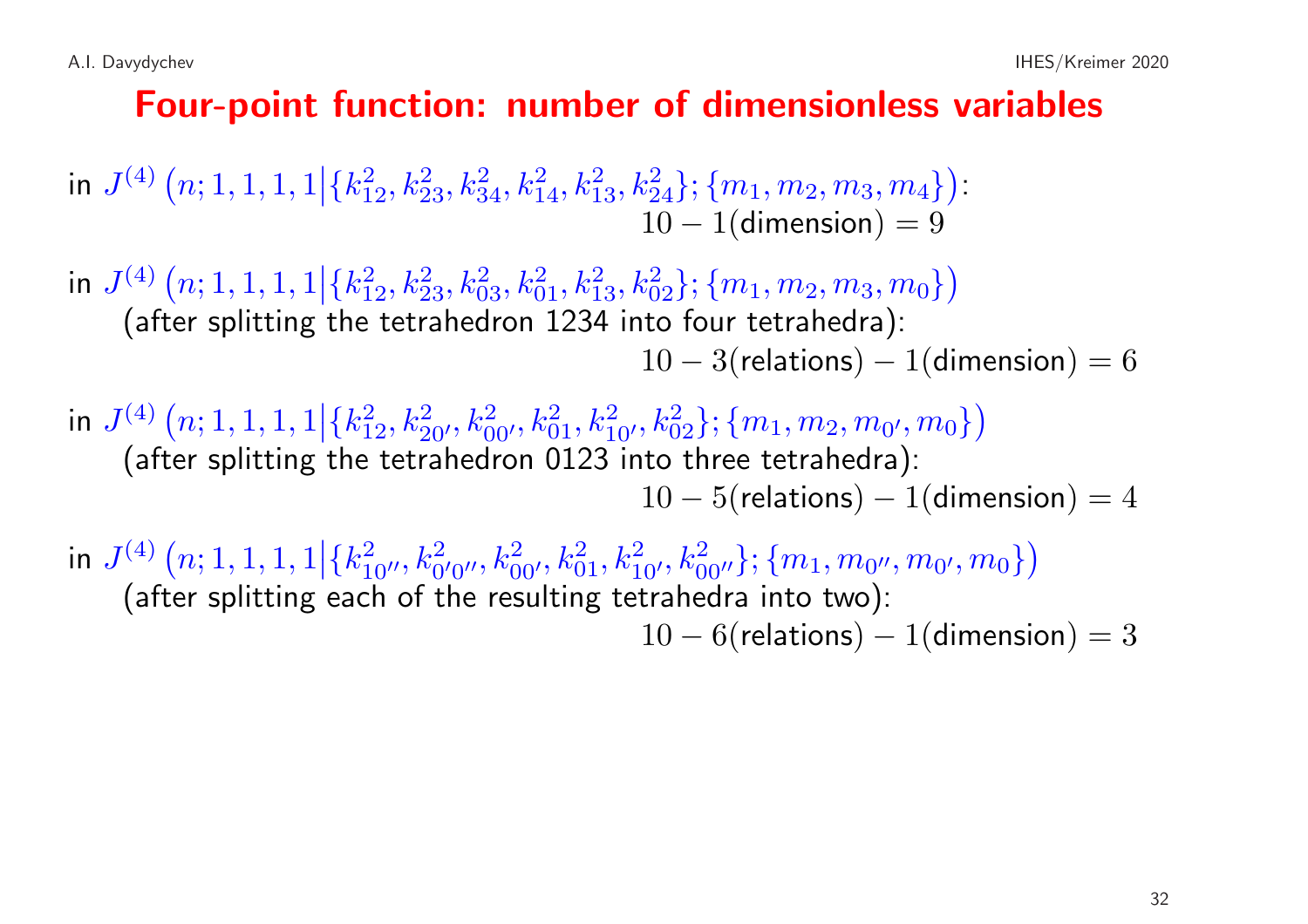#### Four-point function: number of dimensionless variables

in  $J^{(4)}(n; 1, 1, 1, 1 | \{k_{12}^2, k_{23}^2, k_{34}^2, k_{14}^2, k_{13}^2, k_{24}^2\}; \{m_1, m_2, m_3, m_4\})$ :  $10 - 1$ (dimension) = 9

in  $J^{(4)}(n; 1, 1, 1, 1|\{k_{12}^2, k_{23}^2, k_{03}^2, k_{01}^2, k_{13}^2, k_{02}^2\}; \{m_1, m_2, m_3, m_0\})$ (after splitting the tetrahedron <sup>1234</sup> into four tetrahedra):  $10 - 3$ (relations) – 1(dimension) = 6

in  $J^{(4)}(n; 1, 1, 1, 1|\{k_{12}^2, k_{20'}^2, k_{00'}^2, k_{01}^2, k_{10'}^2, k_{02}^2\}; \{m_1, m_2, m_{0'}, m_0\})$ (after splitting the tetrahedron <sup>0123</sup> into three tetrahedra):  $10 - 5$ (relations) – 1(dimension) = 4

in  $J^{(4)}(n; 1, 1, 1, 1|\{k_{10\prime}^2, k_{0\prime}^2, k_{00\prime}^2, k_{01}^2, k_{10\prime}^2, k_{00\prime\prime}^2\}; \{m_1, m_{0\prime}, m_{0\prime}, m_0\})$ (after splitting each of the resulting tetrahedra into two):  $10 - 6$ (relations) – 1(dimension) = 3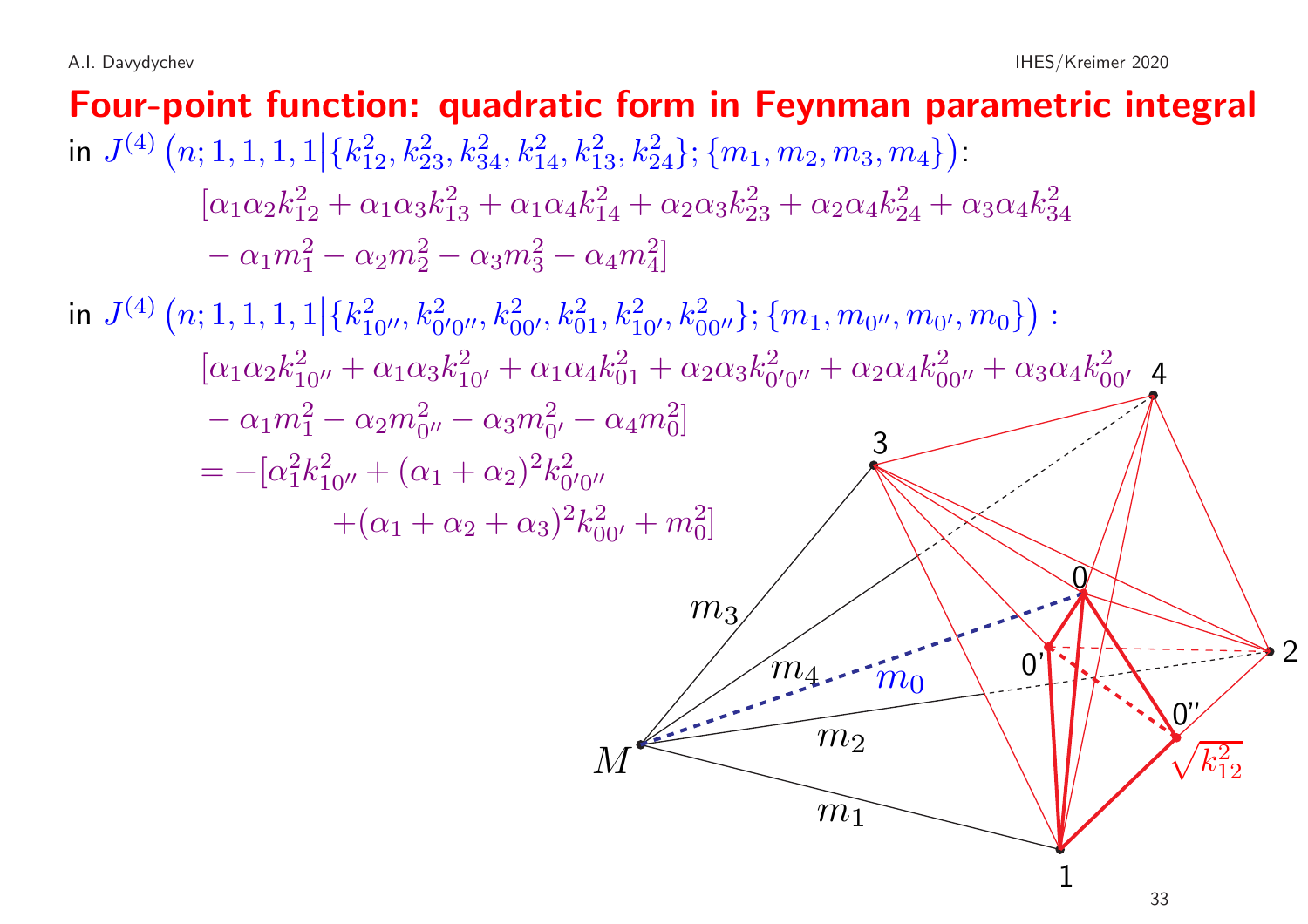Four-point function: quadratic form in Feynman parametric integral in  $J^{(4)}(n; 1, 1, 1, 1 | \{k_{12}^2, k_{23}^2, k_{34}^2, k_{14}^2, k_{13}^2, k_{24}^2\}; \{m_1, m_2, m_3, m_4\})$ :  $[\alpha_1\alpha_2k_1^2 + \alpha_1\alpha_3k_1^2 + \alpha_1\alpha_4k_1^2 + \alpha_2\alpha_3k_2^2 + \alpha_2\alpha_4k_2^2 + \alpha_3\alpha_4k_3^2$  $-\alpha_1 m_1^2 - \alpha_2 m_2^2 - \alpha_3 m_3^2 - \alpha_4 m_4^2$ in  $J^{(4)}(n; 1, 1, 1, 1|\{k_{10\prime}^2, k_{0\prime}^2, k_{00\prime}^2, k_{01}^2, k_{10\prime}^2, k_{00\prime\prime}^2\}; \{m_1, m_{0\prime}, m_{0\prime}, m_0\})$ :  $[\alpha_1\alpha_2k_{10''}^2+\alpha_1\alpha_3k_{10'}^2+\alpha_1\alpha_4k_{01}^2+\alpha_2\alpha_3k_{0'0''}^2+\alpha_2\alpha_4k_{00''}^2+\alpha_3\alpha_4k_{00'}^2$  4  $-\alpha_1 m_1^2 - \alpha_2 m_{0}^2 - \alpha_3 m_{0}^2 - \alpha_4 m_0^2$  $= -[\alpha_1^2 k_{10''}^2 + (\alpha_1 + \alpha_2)^2 k_{0'0''}^2]$  $+(\alpha_1 + \alpha_2 + \alpha_3)^2 k_{00'}^2 + m_0^2$  $\overline{M}$ 1  $m<sub>1</sub>$  $\mathcal{P}$  $m<sub>2</sub>$ 3  $m<sub>3</sub>$ <sup>m</sup><sup>4</sup> <sup>m</sup><sup>0</sup>  $\sqrt{k_{12}^2}$  $\Omega$ 0'  $0''$ 33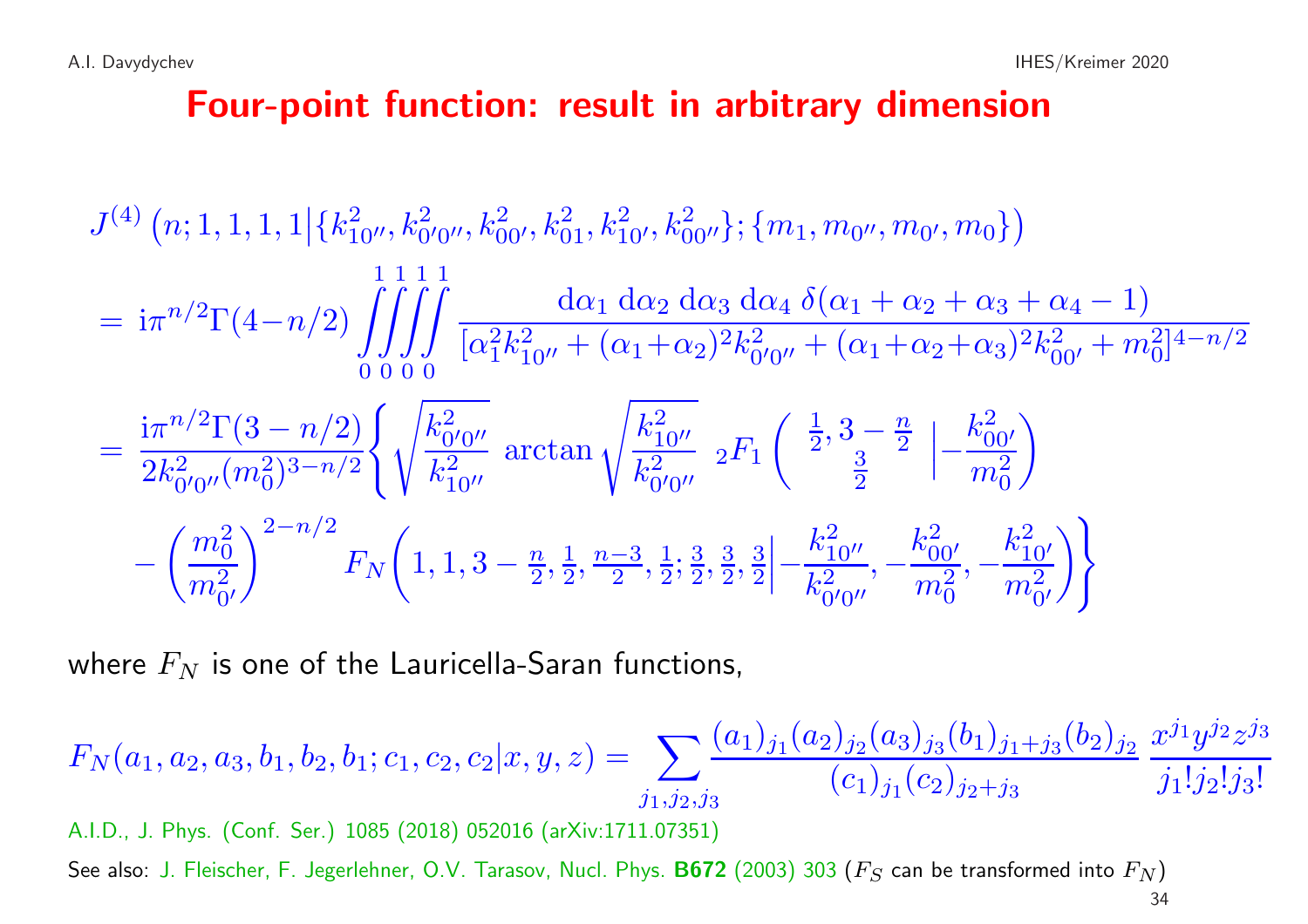## Four-point function: result in arbitrary dimension

$$
J^{(4)} (n; 1, 1, 1, 1 | \{k_{10''}^2, k_{0'0''}^2, k_{00'}^2, k_{01}^2, k_{10'}^2, k_{00''}^2\}; \{m_1, m_{0''}, m_{0'}, m_0\})
$$
  
=  $i\pi^{n/2}\Gamma(4-n/2) \int \int \int \int \frac{d\alpha_1 d\alpha_2 d\alpha_3 d\alpha_4 \delta(\alpha_1 + \alpha_2 + \alpha_3 + \alpha_4 - 1)}{[\alpha_1^2 k_{10''}^2 + (\alpha_1 + \alpha_2)^2 k_{0'0''}^2 + (\alpha_1 + \alpha_2 + \alpha_3)^2 k_{00'}^2 + m_0^2]^{4-n/2}}$   
=  $\frac{i\pi^{n/2}\Gamma(3-n/2)}{2k_{0'0''}^2 (m_0^2)^{3-n/2}} \left\{ \sqrt{\frac{k_{0'0''}^2}{k_{10''}^2}} \arctan \sqrt{\frac{k_{10''}^2}{k_{0'0''}^2}} 2F_1 \left( \frac{\frac{1}{2}, 3 - \frac{n}{2}}{\frac{3}{2}} \right) - \frac{k_{00'}^2}{m_0^2} - \left( \frac{m_0^2}{m_0^2} \right)^{2-n/2} F_N \left( 1, 1, 3 - \frac{n}{2}, \frac{1}{2}, \frac{n-3}{2}, \frac{1}{2}; \frac{3}{2}, \frac{3}{2}, \frac{3}{2} \right] - \frac{k_{10''}^2}{k_{0'0''}^2}, -\frac{k_{10'}^2}{m_0^2}, -\frac{k_{10'}^2}{m_0^2} \right\}$ 

where  $F_N$  is one of the Lauricella-Saran functions,

$$
F_N(a_1, a_2, a_3, b_1, b_2, b_1; c_1, c_2, c_2 | x, y, z) = \sum_{j_1, j_2, j_3} \frac{(a_1)_{j_1}(a_2)_{j_2}(a_3)_{j_3}(b_1)_{j_1+j_3}(b_2)_{j_2}}{(c_1)_{j_1}(c_2)_{j_2+j_3}} \frac{x^{j_1}y^{j_2}z^{j_3}}{j_1!j_2!j_3!}
$$

A.I.D., J. Phys. (Conf. Ser.) <sup>1085</sup> (2018) <sup>052016</sup> (arXiv:1711.07351)

See also: J. Fleischer, F. Jegerlehner, O.V. Tarasov, Nucl. Phys. **B672** (2003) 303 ( $F_S$  can be transformed into  $F_N$ )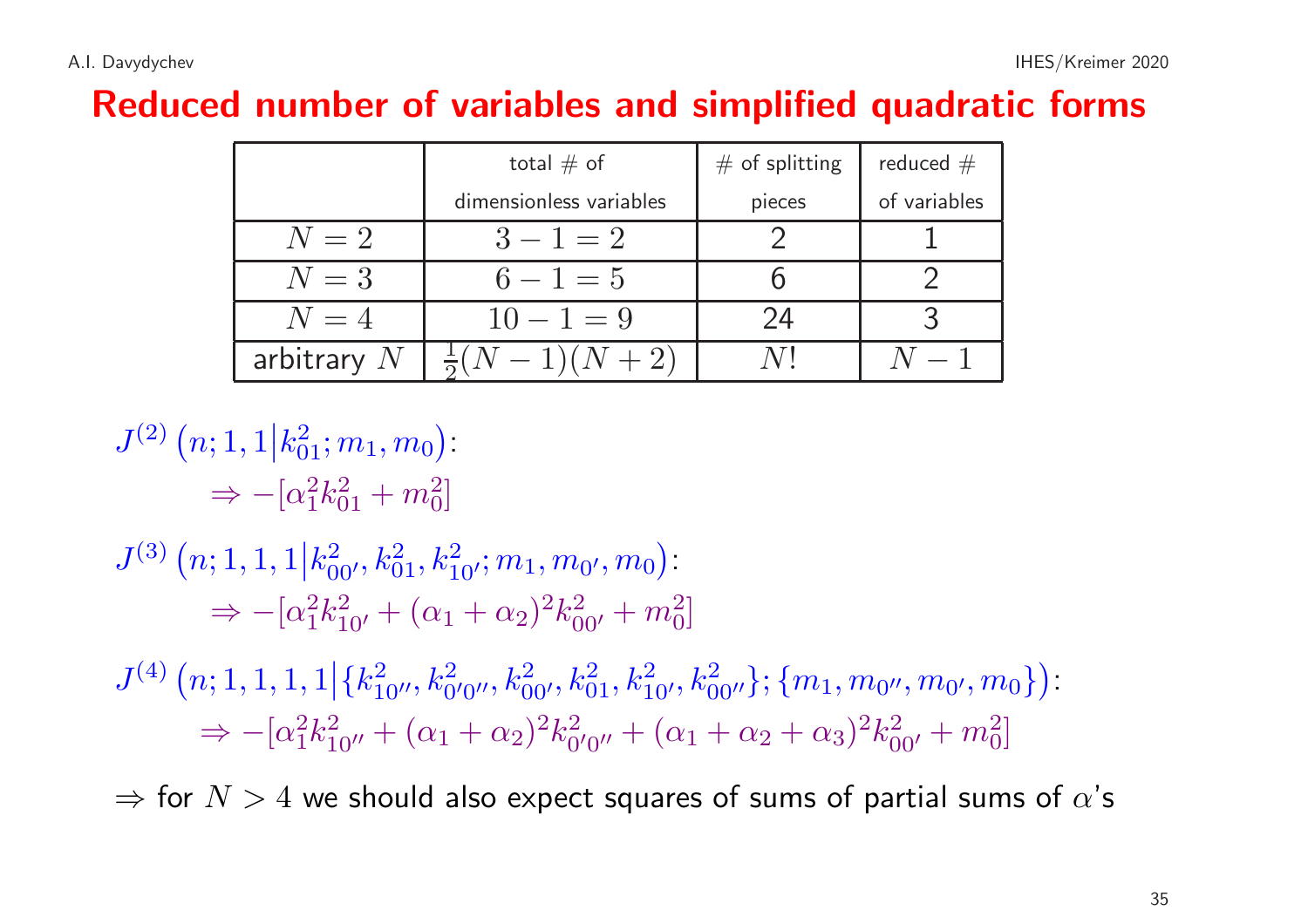# Reduced number of variables and simplified quadratic forms

|               | total $#$ of            | $#$ of splitting | reduced $#$  |
|---------------|-------------------------|------------------|--------------|
|               | dimensionless variables | pieces           | of variables |
| $N=2$         | $3 - 1 = 2$             |                  |              |
| $N=3$         | $6 - 1 = 5$             |                  |              |
| $N=4$         | $10 - 1 = 9$            | 24               |              |
| arbitrary $N$ | $(N-1)(N+2)$            |                  |              |

$$
J^{(2)} (n; 1, 1 | k_{01}^2; m_1, m_0)
$$
  
\n
$$
\Rightarrow -[\alpha_1^2 k_{01}^2 + m_0^2]
$$
  
\n
$$
J^{(3)} (n; 1, 1, 1 | k_{00'}^2, k_{01}^2, k_{10'}^2; m_1, m_{0'}, m_0)
$$
  
\n
$$
\Rightarrow -[\alpha_1^2 k_{10'}^2 + (\alpha_1 + \alpha_2)^2 k_{00'}^2 + m_0^2]
$$
  
\n
$$
J^{(4)} (n; 1, 1, 1, 1 | \{k_{10''}^2, k_{0'0''}^2, k_{00'}^2, k_{01}^2, k_{10'}^2, k_{00''}^2\}; \{m_1, m_{0''}, m_{0'}, m_0\})
$$
  
\n
$$
\Rightarrow -[\alpha_1^2 k_{10''}^2 + (\alpha_1 + \alpha_2)^2 k_{0'0''}^2 + (\alpha_1 + \alpha_2 + \alpha_3)^2 k_{00'}^2 + m_0^2]
$$

 $\Rightarrow$  for  $N > 4$  we should also expect squares of sums of partial sums of  $\alpha$ 's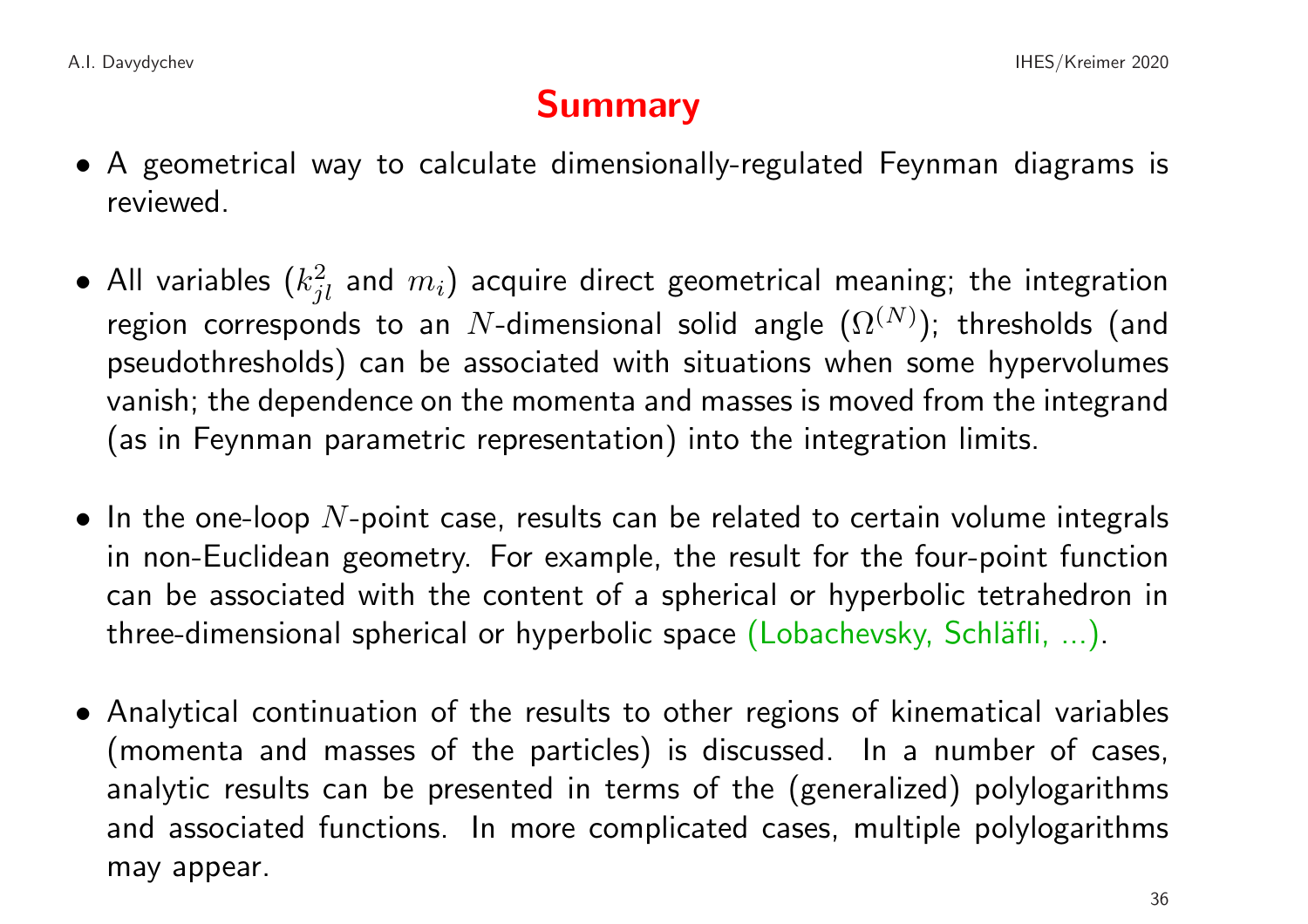## Summary

- A geometrical way to calculate dimensionally-regulated Feynman diagrams is reviewed.
- All variables  $(k_{il}^2$  and  $m_i$ ) acquire direct geometrical meaning; the integration region corresponds to an N-dimensional solid angle  $(\Omega^{(N)})$ ; thresholds (and pseudothresholds) can be associated with situations when some hypervolumes vanish; the dependence on the momenta and masses is moved from the integrand (as in Feynman parametric representation) into the integration limits.
- In the one-loop  $N$ -point case, results can be related to certain volume integrals in non-Euclidean geometry. For example, the result for the four-point function can be associated with the content of a spherical or hyperbolic tetrahedron in three-dimensional spherical or hyperbolic space (Lobachevsky, Schläfli, ...).
- Analytical continuation of the results to other regions of kinematical variables (momenta and masses of the particles) is discussed. In <sup>a</sup> number of cases, analytic results can be presented in terms of the (generalized) polylogarithms and associated functions. In more complicated cases, multiple polylogarithms may appear.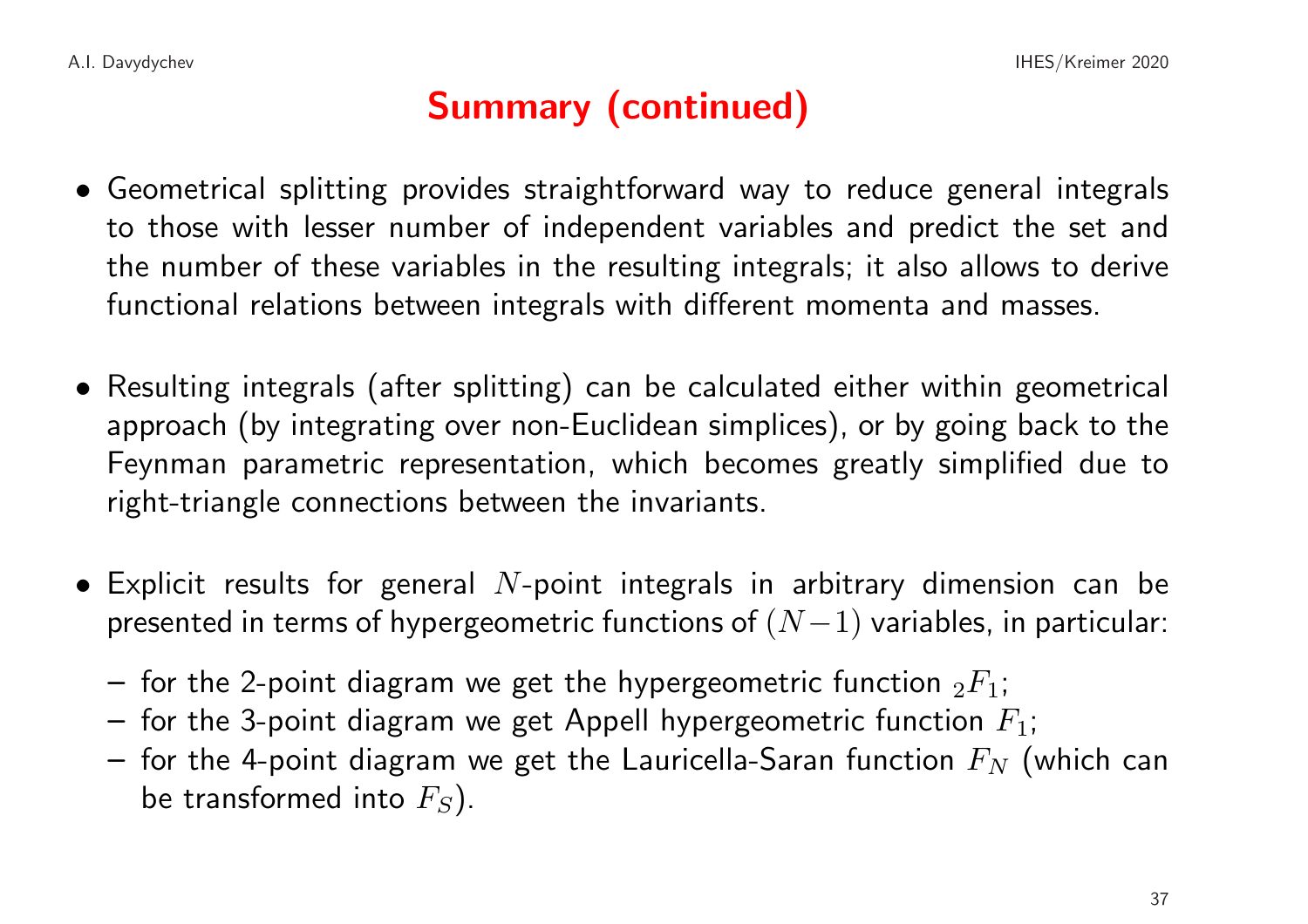## Summary (continued)

- Geometrical splitting provides straightforward way to reduce general integrals to those with lesser number of independent variables and predict the set and the number of these variables in the resulting integrals; it also allows to derive functional relations between integrals with different momenta and masses.
- Resulting integrals (after splitting) can be calculated either within geometrical approach (by integrating over non-Euclidean simplices), or by going back to the Feynman parametric representation, which becomes greatly simplified due to right-triangle connections between the invariants.
- Explicit results for general  $N$ -point integrals in arbitrary dimension can be presented in terms of hypergeometric functions of  $(N-1)$  variables, in particular:
	- for the 2-point diagram we get the hypergeometric function  ${}_2F_1$ ;
	- for the 3-point diagram we get Appell hypergeometric function  $F_1$ ;
	- for the 4-point diagram we get the Lauricella-Saran function  $F_N$  (which can be transformed into  $F_S$ ).